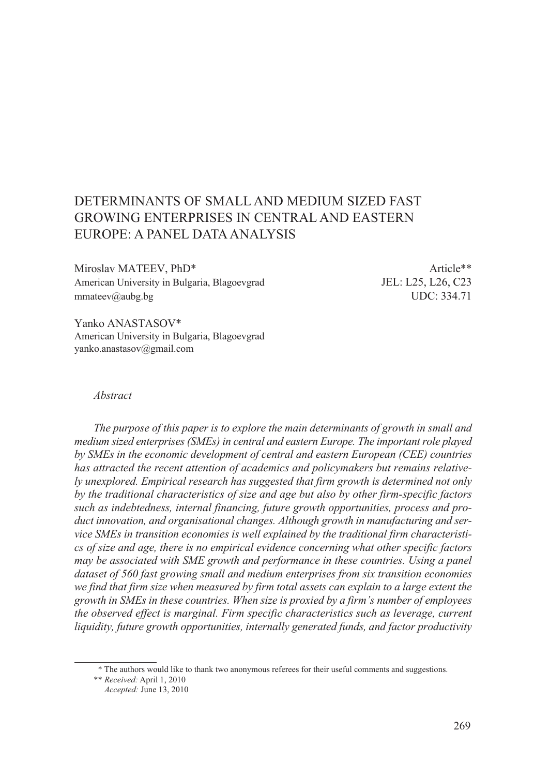# DETERMINANTS OF SMALL AND MEDIUM SIZED FAST GROWING ENTERPRISES IN CENTRAL AND EASTERN EUROPE: A PANEL DATA ANALYSIS

Miroslav MATEEV, PhD\* Article\*\* American University in Bulgaria, Blagoevgrad JEL: L25, L26, C23 mmateev@aubg.bg UDC: 334.71

Yanko ANASTASOV\* American University in Bulgaria, Blagoevgrad yanko.anastasov@gmail.com

#### *Abstract*

*The purpose of this paper is to explore the main determinants of growth in small and medium sized enterprises (SMEs) in central and eastern Europe. The important role played by SMEs in the economic development of central and eastern European (CEE) countries has attracted the recent attention of academics and policymakers but remains relatively unexplored. Empirical research has suggested that firm growth is determined not only by the traditional characteristics of size and age but also by other firm-specific factors such as indebtedness, internal financing, future growth opportunities, process and product innovation, and organisational changes. Although growth in manufacturing and service SMEs in transition economies is well explained by the traditional firm characteristics of size and age, there is no empirical evidence concerning what other specific factors may be associated with SME growth and performance in these countries. Using a panel dataset of 560 fast growing small and medium enterprises from six transition economies we find that firm size when measured by firm total assets can explain to a large extent the growth in SMEs in these countries. When size is proxied by a firm's number of employees the observed effect is marginal. Firm specific characteristics such as leverage, current liquidity, future growth opportunities, internally generated funds, and factor productivity* 

 <sup>\*</sup> The authors would like to thank two anonymous referees for their useful comments and suggestions.

<sup>\*\*</sup> *Received:* April 1, 2010

*Accepted:* June 13, 2010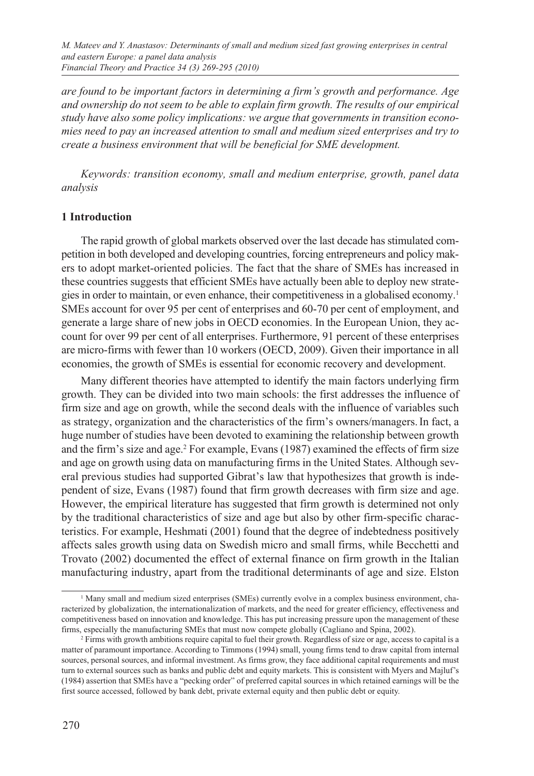*are found to be important factors in determining a firm's growth and performance. Age and ownership do not seem to be able to explain firm growth. The results of our empirical study have also some policy implications: we argue that governments in transition economies need to pay an increased attention to small and medium sized enterprises and try to create a business environment that will be beneficial for SME development.*

*Keywords: transition economy, small and medium enterprise, growth, panel data analysis*

#### **1 Introduction**

The rapid growth of global markets observed over the last decade has stimulated competition in both developed and developing countries, forcing entrepreneurs and policy makers to adopt market-oriented policies. The fact that the share of SMEs has increased in these countries suggests that efficient SMEs have actually been able to deploy new strategies in order to maintain, or even enhance, their competitiveness in a globalised economy.1 SMEs account for over 95 per cent of enterprises and 60-70 per cent of employment, and generate a large share of new jobs in OECD economies. In the European Union, they account for over 99 per cent of all enterprises. Furthermore, 91 percent of these enterprises are micro-firms with fewer than 10 workers (OECD, 2009). Given their importance in all economies, the growth of SMEs is essential for economic recovery and development.

Many different theories have attempted to identify the main factors underlying firm growth. They can be divided into two main schools: the first addresses the influence of firm size and age on growth, while the second deals with the influence of variables such as strategy, organization and the characteristics of the firm's owners/managers.In fact, a huge number of studies have been devoted to examining the relationship between growth and the firm's size and age.<sup>2</sup> For example, Evans (1987) examined the effects of firm size and age on growth using data on manufacturing firms in the United States. Although several previous studies had supported Gibrat's law that hypothesizes that growth is independent of size, Evans (1987) found that firm growth decreases with firm size and age. However, the empirical literature has suggested that firm growth is determined not only by the traditional characteristics of size and age but also by other firm-specific characteristics. For example, Heshmati (2001) found that the degree of indebtedness positively affects sales growth using data on Swedish micro and small firms, while Becchetti and Trovato (2002) documented the effect of external finance on firm growth in the Italian manufacturing industry, apart from the traditional determinants of age and size. Elston

<sup>1</sup> Many small and medium sized enterprises (SMEs) currently evolve in a complex business environment, characterized by globalization, the internationalization of markets, and the need for greater efficiency, effectiveness and competitiveness based on innovation and knowledge. This has put increasing pressure upon the management of these firms, especially the manufacturing SMEs that must now compete globally (Cagliano and Spina, 2002). 2

<sup>&</sup>lt;sup>2</sup> Firms with growth ambitions require capital to fuel their growth. Regardless of size or age, access to capital is a matter of paramount importance. According to Timmons (1994) small, young firms tend to draw capital from internal sources, personal sources, and informal investment. As firms grow, they face additional capital requirements and must turn to external sources such as banks and public debt and equity markets. This is consistent with Myers and Majluf's (1984) assertion that SMEs have a "pecking order" of preferred capital sources in which retained earnings will be the first source accessed, followed by bank debt, private external equity and then public debt or equity.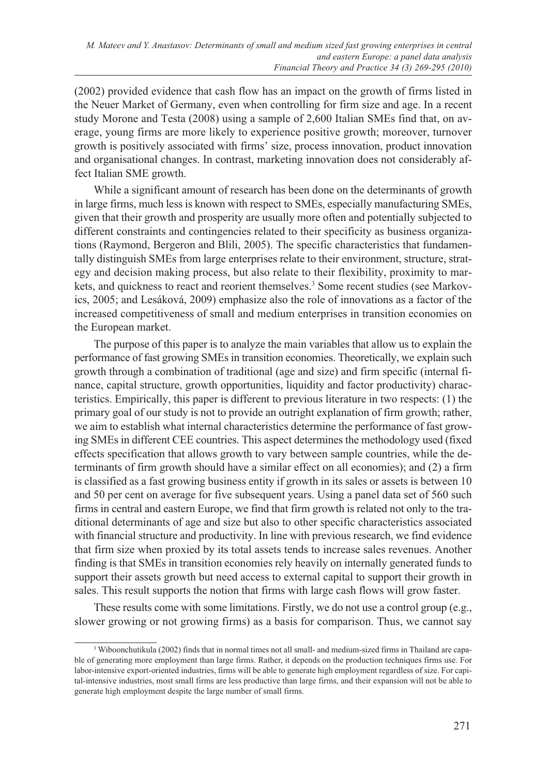(2002) provided evidence that cash flow has an impact on the growth of firms listed in the Neuer Market of Germany, even when controlling for firm size and age. In a recent study Morone and Testa (2008) using a sample of 2,600 Italian SMEs find that, on average, young firms are more likely to experience positive growth; moreover, turnover growth is positively associated with firms' size, process innovation, product innovation and organisational changes. In contrast, marketing innovation does not considerably affect Italian SME growth.

While a significant amount of research has been done on the determinants of growth in large firms, much less is known with respect to SMEs, especially manufacturing SMEs, given that their growth and prosperity are usually more often and potentially subjected to different constraints and contingencies related to their specificity as business organizations (Raymond, Bergeron and Blili, 2005). The specific characteristics that fundamentally distinguish SMEs from large enterprises relate to their environment, structure, strategy and decision making process, but also relate to their flexibility, proximity to markets, and quickness to react and reorient themselves.<sup>3</sup> Some recent studies (see Markovics, 2005; and Lesáková, 2009) emphasize also the role of innovations as a factor of the increased competitiveness of small and medium enterprises in transition economies on the European market.

The purpose of this paper is to analyze the main variables that allow us to explain the performance of fast growing SMEs in transition economies. Theoretically, we explain such growth through a combination of traditional (age and size) and firm specific (internal finance, capital structure, growth opportunities, liquidity and factor productivity) characteristics. Empirically, this paper is different to previous literature in two respects: (1) the primary goal of our study is not to provide an outright explanation of firm growth; rather, we aim to establish what internal characteristics determine the performance of fast growing SMEs in different CEE countries. This aspect determines the methodology used (fixed effects specification that allows growth to vary between sample countries, while the determinants of firm growth should have a similar effect on all economies); and (2) a firm is classified as a fast growing business entity if growth in its sales or assets is between 10 and 50 per cent on average for five subsequent years. Using a panel data set of 560 such firms in central and eastern Europe, we find that firm growth is related not only to the traditional determinants of age and size but also to other specific characteristics associated with financial structure and productivity. In line with previous research, we find evidence that firm size when proxied by its total assets tends to increase sales revenues. Another finding is that SMEs in transition economies rely heavily on internally generated funds to support their assets growth but need access to external capital to support their growth in sales. This result supports the notion that firms with large cash flows will grow faster.

These results come with some limitations. Firstly, we do not use a control group (e.g., slower growing or not growing firms) as a basis for comparison. Thus, we cannot say

<sup>3</sup> Wiboonchutikula (2002) finds that in normal times not all small- and medium-sized firms in Thailand are capable of generating more employment than large firms. Rather, it depends on the production techniques firms use. For labor-intensive export-oriented industries, firms will be able to generate high employment regardless of size. For capital-intensive industries, most small firms are less productive than large firms, and their expansion will not be able to generate high employment despite the large number of small firms.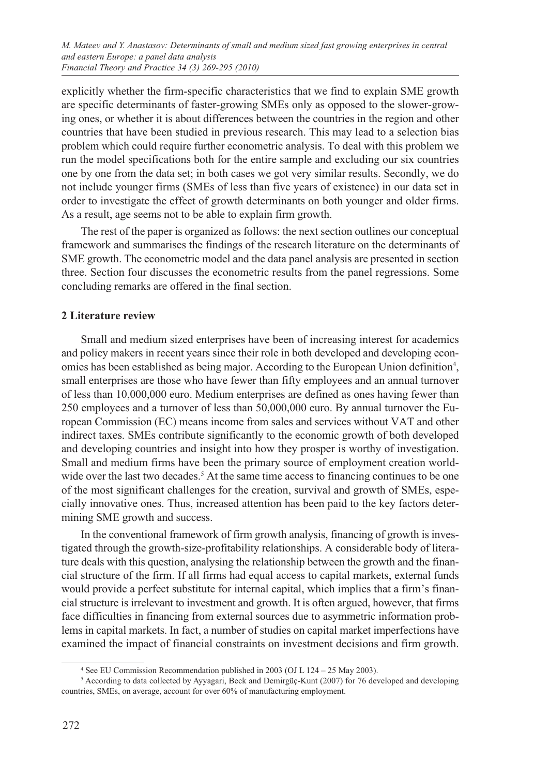explicitly whether the firm-specific characteristics that we find to explain SME growth are specific determinants of faster-growing SMEs only as opposed to the slower-growing ones, or whether it is about differences between the countries in the region and other countries that have been studied in previous research. This may lead to a selection bias problem which could require further econometric analysis. To deal with this problem we run the model specifications both for the entire sample and excluding our six countries one by one from the data set; in both cases we got very similar results. Secondly, we do not include younger firms (SMEs of less than five years of existence) in our data set in order to investigate the effect of growth determinants on both younger and older firms. As a result, age seems not to be able to explain firm growth.

The rest of the paper is organized as follows: the next section outlines our conceptual framework and summarises the findings of the research literature on the determinants of SME growth. The econometric model and the data panel analysis are presented in section three. Section four discusses the econometric results from the panel regressions. Some concluding remarks are offered in the final section.

# **2 Literature review**

Small and medium sized enterprises have been of increasing interest for academics and policy makers in recent years since their role in both developed and developing economies has been established as being major. According to the European Union definition<sup>4</sup>, small enterprises are those who have fewer than fifty employees and an annual turnover of less than 10,000,000 euro. Medium enterprises are defined as ones having fewer than 250 employees and a turnover of less than 50,000,000 euro. By annual turnover the European Commission (EC) means income from sales and services without VAT and other indirect taxes. SMEs contribute significantly to the economic growth of both developed and developing countries and insight into how they prosper is worthy of investigation. Small and medium firms have been the primary source of employment creation worldwide over the last two decades.<sup>5</sup> At the same time access to financing continues to be one of the most significant challenges for the creation, survival and growth of SMEs, especially innovative ones. Thus, increased attention has been paid to the key factors determining SME growth and success.

In the conventional framework of firm growth analysis, financing of growth is investigated through the growth-size-profitability relationships. A considerable body of literature deals with this question, analysing the relationship between the growth and the financial structure of the firm. If all firms had equal access to capital markets, external funds would provide a perfect substitute for internal capital, which implies that a firm's financial structure is irrelevant to investment and growth. It is often argued, however, that firms face difficulties in financing from external sources due to asymmetric information problems in capital markets. In fact, a number of studies on capital market imperfections have examined the impact of financial constraints on investment decisions and firm growth.

<sup>4</sup> See EU Commission Recommendation published in 2003 (OJ L 124 – 25 May 2003).

<sup>&</sup>lt;sup>5</sup> According to data collected by Ayyagari, Beck and Demirgüç-Kunt (2007) for 76 developed and developing countries, SMEs, on average, account for over 60% of manufacturing employment.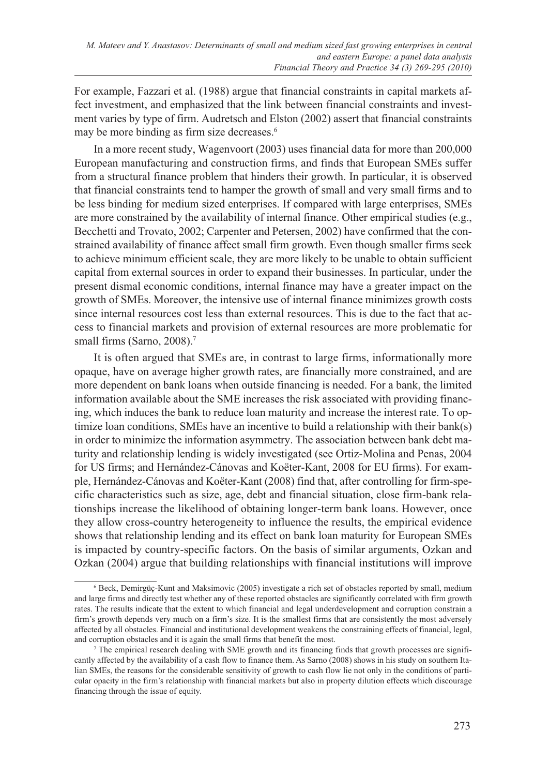For example, Fazzari et al. (1988) argue that financial constraints in capital markets affect investment, and emphasized that the link between financial constraints and investment varies by type of firm. Audretsch and Elston (2002) assert that financial constraints may be more binding as firm size decreases.<sup>6</sup>

In a more recent study, Wagenvoort (2003) uses financial data for more than 200,000 European manufacturing and construction firms, and finds that European SMEs suffer from a structural finance problem that hinders their growth. In particular, it is observed that financial constraints tend to hamper the growth of small and very small firms and to be less binding for medium sized enterprises. If compared with large enterprises, SMEs are more constrained by the availability of internal finance. Other empirical studies (e.g., Becchetti and Trovato, 2002; Carpenter and Petersen, 2002) have confirmed that the constrained availability of finance affect small firm growth. Even though smaller firms seek to achieve minimum efficient scale, they are more likely to be unable to obtain sufficient capital from external sources in order to expand their businesses. In particular, under the present dismal economic conditions, internal finance may have a greater impact on the growth of SMEs. Moreover, the intensive use of internal finance minimizes growth costs since internal resources cost less than external resources. This is due to the fact that access to financial markets and provision of external resources are more problematic for small firms (Sarno, 2008).<sup>7</sup>

It is often argued that SMEs are, in contrast to large firms, informationally more opaque, have on average higher growth rates, are financially more constrained, and are more dependent on bank loans when outside financing is needed. For a bank, the limited information available about the SME increases the risk associated with providing financing, which induces the bank to reduce loan maturity and increase the interest rate. To optimize loan conditions, SMEs have an incentive to build a relationship with their bank(s) in order to minimize the information asymmetry. The association between bank debt maturity and relationship lending is widely investigated (see Ortiz-Molina and Penas, 2004 for US firms; and Hernández-Cánovas and Koëter-Kant, 2008 for EU firms). For example, Hernández-Cánovas and Koëter-Kant (2008) find that, after controlling for firm-specific characteristics such as size, age, debt and financial situation, close firm-bank relationships increase the likelihood of obtaining longer-term bank loans. However, once they allow cross-country heterogeneity to influence the results, the empirical evidence shows that relationship lending and its effect on bank loan maturity for European SMEs is impacted by country-specific factors. On the basis of similar arguments, Ozkan and Ozkan (2004) argue that building relationships with financial institutions will improve

<sup>6</sup> Beck, Demirgüç-Kunt and Maksimovic (2005) investigate a rich set of obstacles reported by small, medium and large firms and directly test whether any of these reported obstacles are significantly correlated with firm growth rates. The results indicate that the extent to which financial and legal underdevelopment and corruption constrain a firm's growth depends very much on a firm's size. It is the smallest firms that are consistently the most adversely affected by all obstacles. Financial and institutional development weakens the constraining effects of financial, legal, and corruption obstacles and it is again the small firms that benefit the most.

<sup>7</sup> The empirical research dealing with SME growth and its financing finds that growth processes are significantly affected by the availability of a cash flow to finance them. As Sarno (2008) shows in his study on southern Italian SMEs, the reasons for the considerable sensitivity of growth to cash flow lie not only in the conditions of particular opacity in the firm's relationship with financial markets but also in property dilution effects which discourage financing through the issue of equity.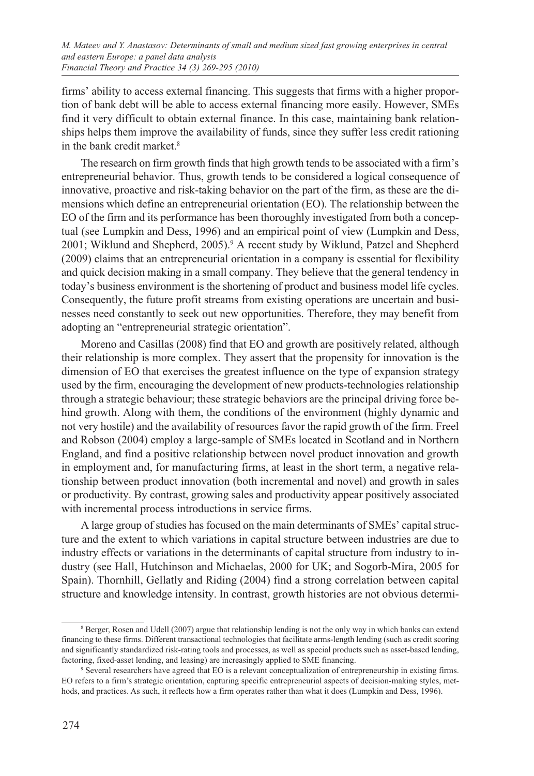firms' ability to access external financing. This suggests that firms with a higher proportion of bank debt will be able to access external financing more easily. However, SMEs find it very difficult to obtain external finance. In this case, maintaining bank relationships helps them improve the availability of funds, since they suffer less credit rationing in the bank credit market.<sup>8</sup>

The research on firm growth finds that high growth tends to be associated with a firm's entrepreneurial behavior. Thus, growth tends to be considered a logical consequence of innovative, proactive and risk-taking behavior on the part of the firm, as these are the dimensions which define an entrepreneurial orientation (EO). The relationship between the EO of the firm and its performance has been thoroughly investigated from both a conceptual (see Lumpkin and Dess, 1996) and an empirical point of view (Lumpkin and Dess, 2001; Wiklund and Shepherd, 2005).<sup>9</sup> A recent study by Wiklund, Patzel and Shepherd (2009) claims that an entrepreneurial orientation in a company is essential for flexibility and quick decision making in a small company. They believe that the general tendency in today's business environment is the shortening of product and business model life cycles. Consequently, the future profit streams from existing operations are uncertain and businesses need constantly to seek out new opportunities. Therefore, they may benefit from adopting an "entrepreneurial strategic orientation".

Moreno and Casillas (2008) find that EO and growth are positively related, although their relationship is more complex. They assert that the propensity for innovation is the dimension of EO that exercises the greatest influence on the type of expansion strategy used by the firm, encouraging the development of new products-technologies relationship through a strategic behaviour; these strategic behaviors are the principal driving force behind growth. Along with them, the conditions of the environment (highly dynamic and not very hostile) and the availability of resources favor the rapid growth of the firm. Freel and Robson (2004) employ a large-sample of SMEs located in Scotland and in Northern England, and find a positive relationship between novel product innovation and growth in employment and, for manufacturing firms, at least in the short term, a negative relationship between product innovation (both incremental and novel) and growth in sales or productivity. By contrast, growing sales and productivity appear positively associated with incremental process introductions in service firms.

A large group of studies has focused on the main determinants of SMEs' capital structure and the extent to which variations in capital structure between industries are due to industry effects or variations in the determinants of capital structure from industry to industry (see Hall, Hutchinson and Michaelas, 2000 for UK; and Sogorb-Mira, 2005 for Spain). Thornhill, Gellatly and Riding (2004) find a strong correlation between capital structure and knowledge intensity. In contrast, growth histories are not obvious determi-

<sup>&</sup>lt;sup>8</sup> Berger, Rosen and Udell (2007) argue that relationship lending is not the only way in which banks can extend financing to these firms. Different transactional technologies that facilitate arms-length lending (such as credit scoring and significantly standardized risk-rating tools and processes, as well as special products such as asset-based lending, factoring, fixed-asset lending, and leasing) are increasingly applied to SME financing. 9

<sup>&</sup>lt;sup>9</sup> Several researchers have agreed that EO is a relevant conceptualization of entrepreneurship in existing firms. EO refers to a firm's strategic orientation, capturing specific entrepreneurial aspects of decision-making styles, methods, and practices. As such, it reflects how a firm operates rather than what it does (Lumpkin and Dess, 1996).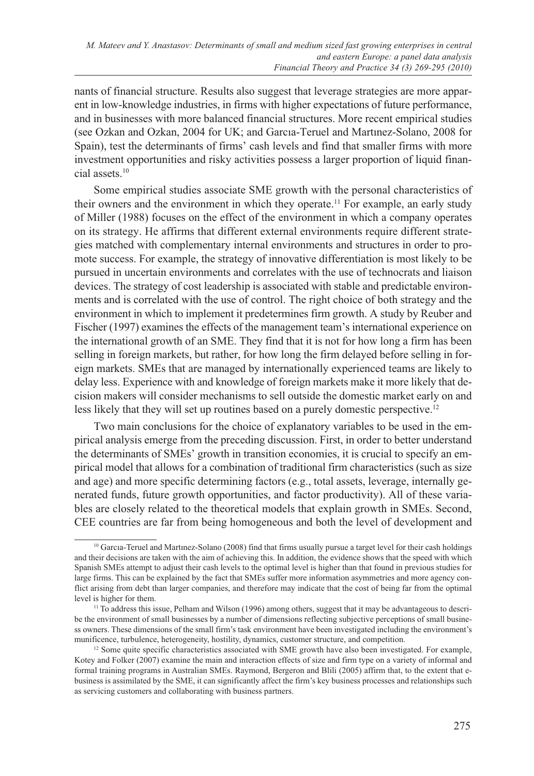nants of financial structure. Results also suggest that leverage strategies are more apparent in low-knowledge industries, in firms with higher expectations of future performance, and in businesses with more balanced financial structures. More recent empirical studies (see Ozkan and Ozkan, 2004 for UK; and Garcıa-Teruel and Martınez-Solano, 2008 for Spain), test the determinants of firms' cash levels and find that smaller firms with more investment opportunities and risky activities possess a larger proportion of liquid financial assets.10

Some empirical studies associate SME growth with the personal characteristics of their owners and the environment in which they operate.11 For example, an early study of Miller (1988) focuses on the effect of the environment in which a company operates on its strategy. He affirms that different external environments require different strategies matched with complementary internal environments and structures in order to promote success. For example, the strategy of innovative differentiation is most likely to be pursued in uncertain environments and correlates with the use of technocrats and liaison devices. The strategy of cost leadership is associated with stable and predictable environments and is correlated with the use of control. The right choice of both strategy and the environment in which to implement it predetermines firm growth. A study by Reuber and Fischer (1997) examines the effects of the management team's international experience on the international growth of an SME. They find that it is not for how long a firm has been selling in foreign markets, but rather, for how long the firm delayed before selling in foreign markets. SMEs that are managed by internationally experienced teams are likely to delay less. Experience with and knowledge of foreign markets make it more likely that decision makers will consider mechanisms to sell outside the domestic market early on and less likely that they will set up routines based on a purely domestic perspective.<sup>12</sup>

Two main conclusions for the choice of explanatory variables to be used in the empirical analysis emerge from the preceding discussion. First, in order to better understand the determinants of SMEs' growth in transition economies, it is crucial to specify an empirical model that allows for a combination of traditional firm characteristics (such as size and age) and more specific determining factors (e.g., total assets, leverage, internally generated funds, future growth opportunities, and factor productivity). All of these variables are closely related to the theoretical models that explain growth in SMEs. Second, CEE countries are far from being homogeneous and both the level of development and

<sup>&</sup>lt;sup>10</sup> Garcıa-Teruel and Martınez-Solano (2008) find that firms usually pursue a target level for their cash holdings and their decisions are taken with the aim of achieving this. In addition, the evidence shows that the speed with which Spanish SMEs attempt to adjust their cash levels to the optimal level is higher than that found in previous studies for large firms. This can be explained by the fact that SMEs suffer more information asymmetries and more agency conflict arising from debt than larger companies, and therefore may indicate that the cost of being far from the optimal level is higher for them.

<sup>&</sup>lt;sup>11</sup> To address this issue, Pelham and Wilson (1996) among others, suggest that it may be advantageous to describe the environment of small businesses by a number of dimensions reflecting subjective perceptions of small business owners. These dimensions of the small firm's task environment have been investigated including the environment's munificence, turbulence, heterogeneity, hostility, dynamics, customer structure, and competition.

<sup>&</sup>lt;sup>12</sup> Some quite specific characteristics associated with SME growth have also been investigated. For example, Kotey and Folker (2007) examine the main and interaction effects of size and firm type on a variety of informal and formal training programs in Australian SMEs. Raymond, Bergeron and Blili (2005) affirm that, to the extent that ebusiness is assimilated by the SME, it can significantly affect the firm's key business processes and relationships such as servicing customers and collaborating with business partners.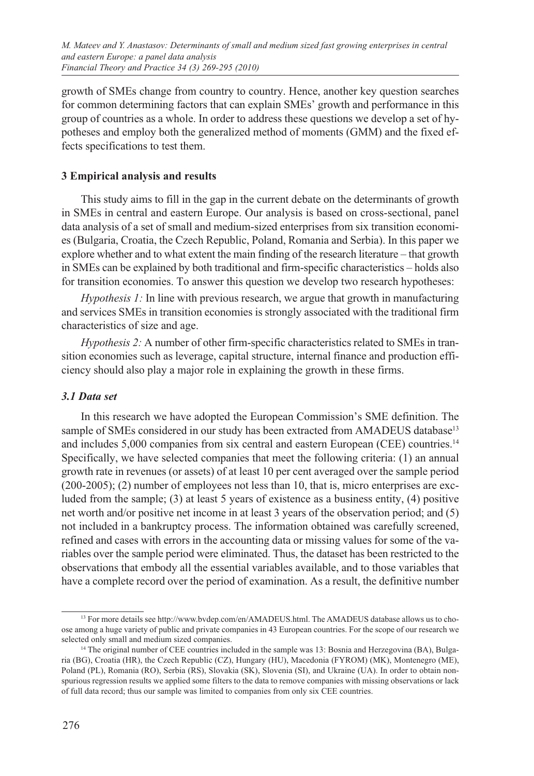growth of SMEs change from country to country. Hence, another key question searches for common determining factors that can explain SMEs' growth and performance in this group of countries as a whole. In order to address these questions we develop a set of hypotheses and employ both the generalized method of moments (GMM) and the fixed effects specifications to test them.

## **3 Empirical analysis and results**

This study aims to fill in the gap in the current debate on the determinants of growth in SMEs in central and eastern Europe. Our analysis is based on cross-sectional, panel data analysis of a set of small and medium-sized enterprises from six transition economies (Bulgaria, Croatia, the Czech Republic, Poland, Romania and Serbia). In this paper we explore whether and to what extent the main finding of the research literature – that growth in SMEs can be explained by both traditional and firm-specific characteristics – holds also for transition economies. To answer this question we develop two research hypotheses:

*Hypothesis 1:* In line with previous research, we argue that growth in manufacturing and services SMEs in transition economies is strongly associated with the traditional firm characteristics of size and age.

*Hypothesis 2:* A number of other firm-specific characteristics related to SMEs in transition economies such as leverage, capital structure, internal finance and production efficiency should also play a major role in explaining the growth in these firms.

#### *3.1 Data set*

In this research we have adopted the European Commission's SME definition. The sample of SMEs considered in our study has been extracted from AMADEUS database<sup>13</sup> and includes 5,000 companies from six central and eastern European (CEE) countries.<sup>14</sup> Specifically, we have selected companies that meet the following criteria: (1) an annual growth rate in revenues (or assets) of at least 10 per cent averaged over the sample period (200-2005); (2) number of employees not less than 10, that is, micro enterprises are excluded from the sample; (3) at least 5 years of existence as a business entity, (4) positive net worth and/or positive net income in at least 3 years of the observation period; and (5) not included in a bankruptcy process. The information obtained was carefully screened, refined and cases with errors in the accounting data or missing values for some of the variables over the sample period were eliminated. Thus, the dataset has been restricted to the observations that embody all the essential variables available, and to those variables that have a complete record over the period of examination. As a result, the definitive number

<sup>&</sup>lt;sup>13</sup> For more details see http://www.bvdep.com/en/AMADEUS.html. The AMADEUS database allows us to choose among a huge variety of public and private companies in 43 European countries. For the scope of our research we selected only small and medium sized companies.

<sup>&</sup>lt;sup>14</sup> The original number of CEE countries included in the sample was 13: Bosnia and Herzegovina (BA), Bulgaria (BG), Croatia (HR), the Czech Republic (CZ), Hungary (HU), Macedonia (FYROM) (MK), Montenegro (ME), Poland (PL), Romania (RO), Serbia (RS), Slovakia (SK), Slovenia (SI), and Ukraine (UA). In order to obtain nonspurious regression results we applied some filters to the data to remove companies with missing observations or lack of full data record; thus our sample was limited to companies from only six CEE countries.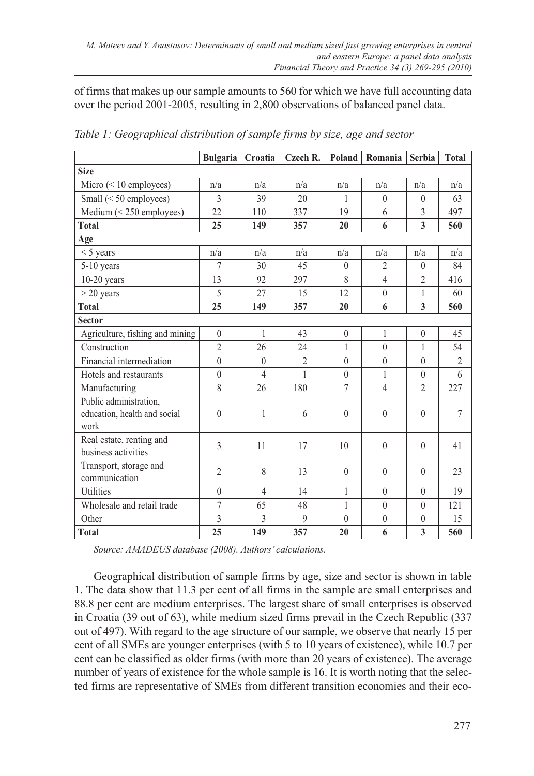of firms that makes up our sample amounts to 560 for which we have full accounting data over the period 2001-2005, resulting in 2,800 observations of balanced panel data.

|                                                                | <b>Bulgaria</b> | Croatia        | Czech R.                 | Poland       | Romania          | <b>Serbia</b>  | <b>Total</b>   |  |
|----------------------------------------------------------------|-----------------|----------------|--------------------------|--------------|------------------|----------------|----------------|--|
| <b>Size</b>                                                    |                 |                |                          |              |                  |                |                |  |
| Micro $(< 10$ employees)                                       | n/a             | n/a            | n/a                      | n/a          | n/a              | n/a            | n/a            |  |
| Small $(< 50$ employees)                                       | 3               | 39             | 20                       | $\mathbf{1}$ | $\theta$         | $\theta$       | 63             |  |
| Medium $(< 250$ employees)                                     | 22              | 110            | 337                      | 19           | 6                | 3              | 497            |  |
| <b>Total</b>                                                   | 25              | 149            | 357                      | 20           | 6                | 3              | 560            |  |
| Age                                                            |                 |                |                          |              |                  |                |                |  |
| $<$ 5 years                                                    | n/a             | n/a            | n/a                      | n/a          | n/a              | n/a            | n/a            |  |
| $5-10$ years                                                   | 7               | 30             | 45                       | $\theta$     | $\overline{2}$   | $\theta$       | 84             |  |
| $10-20$ years                                                  | 13              | 92             | 297                      | 8            | 4                | $\overline{2}$ | 416            |  |
| $>$ 20 years                                                   | 5               | 27             | 15                       | 12           | $\theta$         | 1              | 60             |  |
| <b>Total</b>                                                   | 25              | 149            | 357                      | 20           | 6                | 3              | 560            |  |
| <b>Sector</b>                                                  |                 |                |                          |              |                  |                |                |  |
| Agriculture, fishing and mining                                | $\mathbf{0}$    | 1              | 43                       | $\theta$     | $\mathbf{1}$     | $\theta$       | 45             |  |
| Construction                                                   | $\overline{2}$  | 26             | 24                       | 1            | $\mathbf{0}$     | 1              | 54             |  |
| Financial intermediation                                       | $\theta$        | $\Omega$       | $\overline{\mathcal{L}}$ | $\theta$     | $\mathbf{0}$     | $\Omega$       | $\overline{2}$ |  |
| Hotels and restaurants                                         | $\theta$        | $\overline{4}$ | 1                        | $\theta$     | 1                | $\theta$       | 6              |  |
| Manufacturing                                                  | 8               | 26             | 180                      | $\tau$       | $\overline{4}$   | $\overline{2}$ | 227            |  |
| Public administration,<br>education, health and social<br>work | $\theta$        | 1              | 6                        | $\theta$     | $\theta$         | $\theta$       | $\overline{7}$ |  |
| Real estate, renting and<br>business activities                | 3               | 11             | 17                       | 10           | $\mathbf{0}$     | $\theta$       | 41             |  |
| Transport, storage and<br>communication                        | $\overline{2}$  | 8              | 13                       | $\theta$     | $\mathbf{0}$     | $\theta$       | 23             |  |
| <b>Utilities</b>                                               | $\theta$        | $\overline{4}$ | 14                       | 1            | $\theta$         | $\Omega$       | 19             |  |
| Wholesale and retail trade                                     | 7               | 65             | 48                       | 1            | $\theta$         | $\theta$       | 121            |  |
| Other                                                          | 3               | 3              | 9                        | $\theta$     | $\boldsymbol{0}$ | $\theta$       | 15             |  |
| <b>Total</b>                                                   | 25              | 149            | 357                      | 20           | 6                | 3              | 560            |  |

*Table 1: Geographical distribution of sample firms by size, age and sector*

*Source: AMADEUS database (2008). Authors' calculations.*

Geographical distribution of sample firms by age, size and sector is shown in table 1. The data show that 11.3 per cent of all firms in the sample are small enterprises and 88.8 per cent are medium enterprises. The largest share of small enterprises is observed in Croatia (39 out of 63), while medium sized firms prevail in the Czech Republic (337 out of 497). With regard to the age structure of our sample, we observe that nearly 15 per cent of all SMEs are younger enterprises (with 5 to 10 years of existence), while 10.7 per cent can be classified as older firms (with more than 20 years of existence). The average number of years of existence for the whole sample is 16. It is worth noting that the selected firms are representative of SMEs from different transition economies and their eco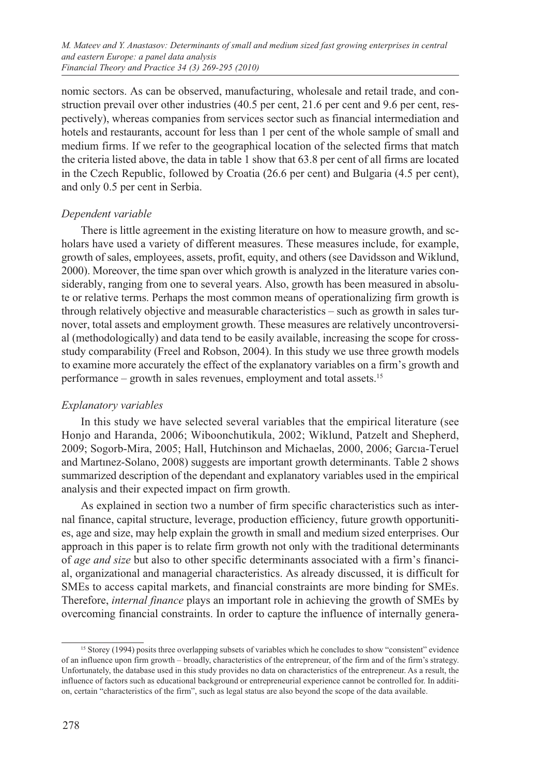nomic sectors. As can be observed, manufacturing, wholesale and retail trade, and construction prevail over other industries  $(40.5$  per cent, 21.6 per cent and 9.6 per cent, respectively), whereas companies from services sector such as financial intermediation and hotels and restaurants, account for less than 1 per cent of the whole sample of small and medium firms. If we refer to the geographical location of the selected firms that match the criteria listed above, the data in table 1 show that 63.8 per cent of all firms are located in the Czech Republic, followed by Croatia (26.6 per cent) and Bulgaria (4.5 per cent), and only 0.5 per cent in Serbia.

### *Dependent variable*

There is little agreement in the existing literature on how to measure growth, and scholars have used a variety of different measures. These measures include, for example, growth of sales, employees, assets, profit, equity, and others (see Davidsson and Wiklund, 2000). Moreover, the time span over which growth is analyzed in the literature varies considerably, ranging from one to several years. Also, growth has been measured in absolute or relative terms. Perhaps the most common means of operationalizing firm growth is through relatively objective and measurable characteristics – such as growth in sales turnover, total assets and employment growth. These measures are relatively uncontroversial (methodologically) and data tend to be easily available, increasing the scope for crossstudy comparability (Freel and Robson, 2004). In this study we use three growth models to examine more accurately the effect of the explanatory variables on a firm's growth and performance – growth in sales revenues, employment and total assets.15

# *Explanatory variables*

In this study we have selected several variables that the empirical literature (see Honjo and Haranda, 2006; Wiboonchutikula, 2002; Wiklund, Patzelt and Shepherd, 2009; Sogorb-Mira, 2005; Hall, Hutchinson and Michaelas, 2000, 2006; Garcıa-Teruel and Martınez-Solano, 2008) suggests are important growth determinants. Table 2 shows summarized description of the dependant and explanatory variables used in the empirical analysis and their expected impact on firm growth.

As explained in section two a number of firm specific characteristics such as internal finance, capital structure, leverage, production efficiency, future growth opportunities, age and size, may help explain the growth in small and medium sized enterprises. Our approach in this paper is to relate firm growth not only with the traditional determinants of *age and size* but also to other specific determinants associated with a firm's financial, organizational and managerial characteristics. As already discussed, it is difficult for SMEs to access capital markets, and financial constraints are more binding for SMEs. Therefore, *internal finance* plays an important role in achieving the growth of SMEs by overcoming financial constraints. In order to capture the influence of internally genera-

<sup>15</sup> Storey (1994) posits three overlapping subsets of variables which he concludes to show "consistent" evidence of an influence upon firm growth – broadly, characteristics of the entrepreneur, of the firm and of the firm's strategy. Unfortunately, the database used in this study provides no data on characteristics of the entrepreneur. As a result, the influence of factors such as educational background or entrepreneurial experience cannot be controlled for. In addition, certain "characteristics of the firm", such as legal status are also beyond the scope of the data available.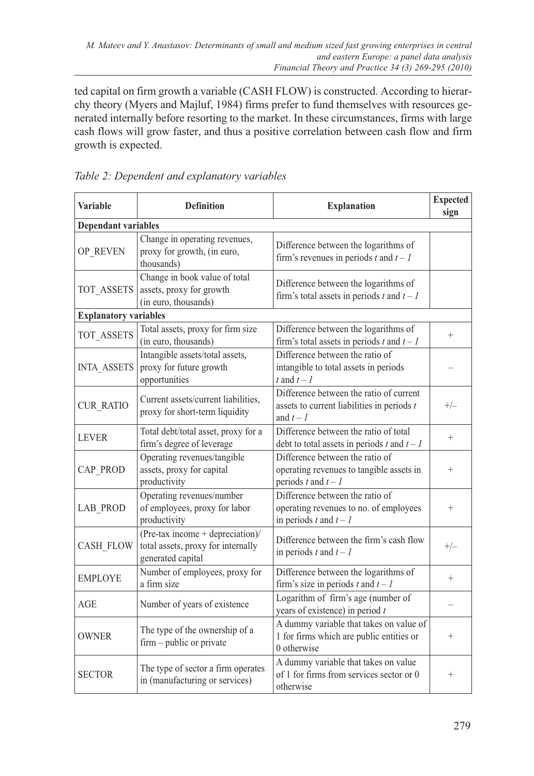ted capital on firm growth a variable (CASH FLOW) is constructed. According to hierarchy theory (Myers and Majluf, 1984) firms prefer to fund themselves with resources generated internally before resorting to the market. In these circumstances, firms with large cash flows will grow faster, and thus a positive correlation between cash flow and firm growth is expected.

| <b>Variable</b>              | <b>Definition</b>                                                                            | <b>Explanation</b>                                                                                      | <b>Expected</b><br>sign |  |  |  |  |  |
|------------------------------|----------------------------------------------------------------------------------------------|---------------------------------------------------------------------------------------------------------|-------------------------|--|--|--|--|--|
| <b>Dependant variables</b>   |                                                                                              |                                                                                                         |                         |  |  |  |  |  |
| OP REVEN                     | Change in operating revenues,<br>proxy for growth, (in euro,<br>thousands)                   | Difference between the logarithms of<br>firm's revenues in periods t and $t - 1$                        |                         |  |  |  |  |  |
| TOT ASSETS                   | Change in book value of total<br>assets, proxy for growth<br>(in euro, thousands)            | Difference between the logarithms of<br>firm's total assets in periods $t$ and $t - 1$                  |                         |  |  |  |  |  |
| <b>Explanatory variables</b> |                                                                                              |                                                                                                         |                         |  |  |  |  |  |
| TOT ASSETS                   | Total assets, proxy for firm size<br>(in euro, thousands)                                    | Difference between the logarithms of<br>firm's total assets in periods $t$ and $t - 1$                  | $^{+}$                  |  |  |  |  |  |
| <b>INTA ASSETS</b>           | Intangible assets/total assets,<br>proxy for future growth<br>opportunities                  | Difference between the ratio of<br>intangible to total assets in periods<br>t and $t - 1$               |                         |  |  |  |  |  |
| <b>CUR RATIO</b>             | Current assets/current liabilities,<br>proxy for short-term liquidity                        | Difference between the ratio of current<br>assets to current liabilities in periods $t$<br>and $t - 1$  | $+/-$                   |  |  |  |  |  |
| <b>LEVER</b>                 | Total debt/total asset, proxy for a<br>firm's degree of leverage                             | Difference between the ratio of total<br>debt to total assets in periods $t$ and $t - 1$                | $^{+}$                  |  |  |  |  |  |
| CAP PROD                     | Operating revenues/tangible<br>assets, proxy for capital<br>productivity                     | Difference between the ratio of<br>operating revenues to tangible assets in<br>periods t and $t - 1$    | $^{+}$                  |  |  |  |  |  |
| <b>LAB PROD</b>              | Operating revenues/number<br>of employees, proxy for labor<br>productivity                   | Difference between the ratio of<br>operating revenues to no. of employees<br>in periods $t$ and $t - 1$ | $^{+}$                  |  |  |  |  |  |
| <b>CASH FLOW</b>             | $(Pre-tax income + depreciation)$<br>total assets, proxy for internally<br>generated capital | Difference between the firm's cash flow<br>in periods $t$ and $t - 1$                                   | $+/-$                   |  |  |  |  |  |
| <b>EMPLOYE</b>               | Number of employees, proxy for<br>a firm size                                                | Difference between the logarithms of<br>firm's size in periods t and $t - 1$                            | $^{+}$                  |  |  |  |  |  |
| <b>AGE</b>                   | Number of years of existence                                                                 | Logarithm of firm's age (number of<br>years of existence) in period $t$                                 |                         |  |  |  |  |  |
| <b>OWNER</b>                 | The type of the ownership of a<br>firm - public or private                                   | A dummy variable that takes on value of<br>1 for firms which are public entities or<br>0 otherwise      | $^{+}$                  |  |  |  |  |  |
| <b>SECTOR</b>                | The type of sector a firm operates<br>in (manufacturing or services)                         | A dummy variable that takes on value<br>of 1 for firms from services sector or 0<br>otherwise           | $^{+}$                  |  |  |  |  |  |

*Table 2: Dependent and explanatory variables*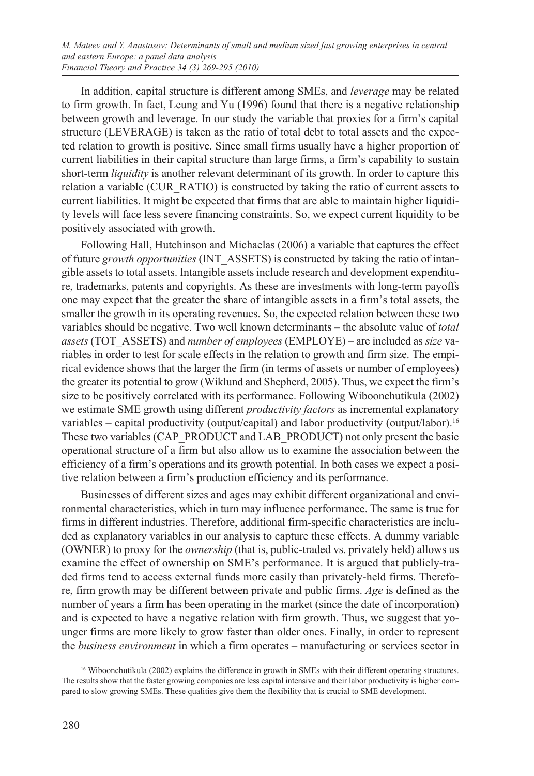In addition, capital structure is different among SMEs, and *leverage* may be related to firm growth. In fact, Leung and Yu (1996) found that there is a negative relationship between growth and leverage. In our study the variable that proxies for a firm's capital structure (LEVERAGE) is taken as the ratio of total debt to total assets and the expected relation to growth is positive. Since small firms usually have a higher proportion of current liabilities in their capital structure than large firms, a firm's capability to sustain short-term *liquidity* is another relevant determinant of its growth. In order to capture this relation a variable (CUR\_RATIO) is constructed by taking the ratio of current assets to current liabilities. It might be expected that firms that are able to maintain higher liquidity levels will face less severe financing constraints. So, we expect current liquidity to be positively associated with growth.

Following Hall, Hutchinson and Michaelas (2006) a variable that captures the effect of future *growth opportunities* (INT\_ASSETS) is constructed by taking the ratio of intangible assets to total assets. Intangible assets include research and development expenditure, trademarks, patents and copyrights. As these are investments with long-term payoffs one may expect that the greater the share of intangible assets in a firm's total assets, the smaller the growth in its operating revenues. So, the expected relation between these two variables should be negative. Two well known determinants – the absolute value of *total assets* (TOT\_ASSETS) and *number of employees* (EMPLOYE) – are included as *size* variables in order to test for scale effects in the relation to growth and firm size. The empirical evidence shows that the larger the firm (in terms of assets or number of employees) the greater its potential to grow (Wiklund and Shepherd, 2005). Thus, we expect the firm's size to be positively correlated with its performance. Following Wiboonchutikula (2002) we estimate SME growth using different *productivity factors* as incremental explanatory variables – capital productivity (output/capital) and labor productivity (output/labor).16 These two variables (CAP\_PRODUCT and LAB\_PRODUCT) not only present the basic operational structure of a firm but also allow us to examine the association between the efficiency of a firm's operations and its growth potential. In both cases we expect a positive relation between a firm's production efficiency and its performance.

Businesses of different sizes and ages may exhibit different organizational and environmental characteristics, which in turn may influence performance. The same is true for firms in different industries. Therefore, additional firm-specific characteristics are included as explanatory variables in our analysis to capture these effects. A dummy variable (OWNER) to proxy for the *ownership* (that is, public-traded vs. privately held) allows us examine the effect of ownership on SME's performance. It is argued that publicly-traded firms tend to access external funds more easily than privately-held firms. Therefore, firm growth may be different between private and public firms. *Age* is defined as the number of years a firm has been operating in the market (since the date of incorporation) and is expected to have a negative relation with firm growth. Thus, we suggest that younger firms are more likely to grow faster than older ones. Finally, in order to represent the *business environment* in which a firm operates – manufacturing or services sector in

<sup>&</sup>lt;sup>16</sup> Wiboonchutikula (2002) explains the difference in growth in SMEs with their different operating structures. The results show that the faster growing companies are less capital intensive and their labor productivity is higher compared to slow growing SMEs. These qualities give them the flexibility that is crucial to SME development.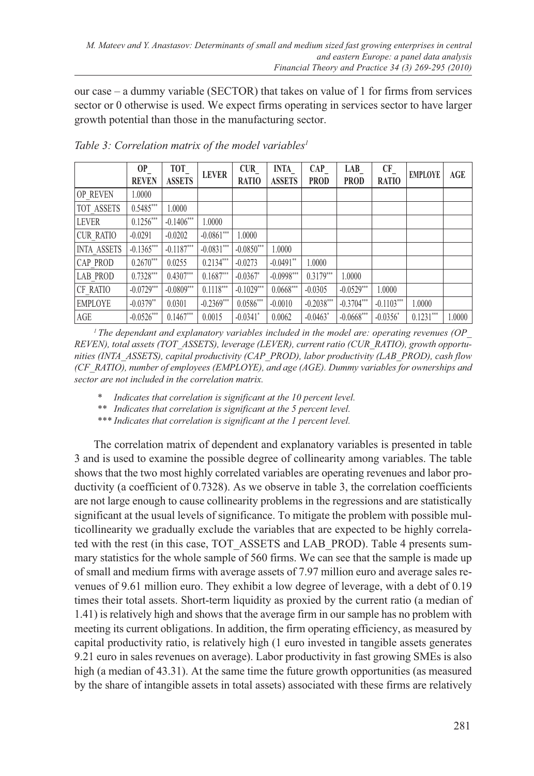our case – a dummy variable (SECTOR) that takes on value of 1 for firms from services sector or 0 otherwise is used. We expect firms operating in services sector to have larger growth potential than those in the manufacturing sector.

|                    | OP<br><b>REVEN</b> | TOT<br><b>ASSETS</b> | <b>LEVER</b> | <b>CUR</b><br><b>RATIO</b> | <b>INTA</b><br><b>ASSETS</b> | <b>CAP</b><br><b>PROD</b> | LAB<br><b>PROD</b> | <b>CF</b><br><b>RATIO</b> | <b>EMPLOYE</b> | AGE    |
|--------------------|--------------------|----------------------|--------------|----------------------------|------------------------------|---------------------------|--------------------|---------------------------|----------------|--------|
| <b>OP REVEN</b>    | 1.0000             |                      |              |                            |                              |                           |                    |                           |                |        |
| <b>TOT ASSETS</b>  | $0.5485***$        | 1.0000               |              |                            |                              |                           |                    |                           |                |        |
| <b>LEVER</b>       | $0.1256***$        | $-0.1406***$         | 1.0000       |                            |                              |                           |                    |                           |                |        |
| <b>CUR RATIO</b>   | $-0.0291$          | $-0.0202$            | $-0.0861***$ | 1.0000                     |                              |                           |                    |                           |                |        |
| <b>INTA ASSETS</b> | $-0.1365***$       | $-0.1187***$         | $-0.0831***$ | $-0.0850***$               | 1.0000                       |                           |                    |                           |                |        |
| <b>CAP PROD</b>    | $0.2670***$        | 0.0255               | $0.2134***$  | $-0.0273$                  | $-0.0491$ **                 | 1.0000                    |                    |                           |                |        |
| <b>LAB PROD</b>    | $0.7328***$        | $0.4307***$          | $0.1687***$  | $-0.0367$ *                | $-0.0998***$                 | $0.3179***$               | 1.0000             |                           |                |        |
| CF RATIO           | $-0.0729***$       | $-0.0809***$         | $0.1118***$  | $-0.1029***$               | $0.0668***$                  | $-0.0305$                 | $-0.0529***$       | 1.0000                    |                |        |
| <b>EMPLOYE</b>     | $-0.0379**$        | 0.0301               | $-0.2369***$ | $0.0586***$                | $-0.0010$                    | $-0.2038***$              | $-0.3704***$       | $-0.1103***$              | 1.0000         |        |
| AGE                | $-0.0526***$       | $0.1467***$          | 0.0015       | $-0.0341$ <sup>*</sup>     | 0.0062                       | $-0.0463$ <sup>*</sup>    | $-0.0668***$       | $-0.0356*$                | $0.1231***$    | 1.0000 |

Table 3: Correlation matrix of the model variables<sup>1</sup>

*1 The dependant and explanatory variables included in the model are: operating revenues (OP\_ REVEN), total assets (TOT\_ASSETS), leverage (LEVER), current ratio (CUR\_RATIO), growth opportunities (INTA\_ASSETS), capital productivity (CAP\_PROD), labor productivity (LAB\_PROD), cash flow (CF\_RATIO), number of employees (EMPLOYE), and age (AGE). Dummy variables for ownerships and sector are not included in the correlation matrix.*

*\* Indicates that correlation is significant at the 10 percent level.*

*\*\* Indicates that correlation is significant at the 5 percent level.*

*\*\*\* Indicates that correlation is significant at the 1 percent level.*

The correlation matrix of dependent and explanatory variables is presented in table 3 and is used to examine the possible degree of collinearity among variables. The table shows that the two most highly correlated variables are operating revenues and labor productivity (a coefficient of 0.7328). As we observe in table 3, the correlation coefficients are not large enough to cause collinearity problems in the regressions and are statistically significant at the usual levels of significance. To mitigate the problem with possible multicollinearity we gradually exclude the variables that are expected to be highly correlated with the rest (in this case, TOT\_ASSETS and LAB\_PROD). Table 4 presents summary statistics for the whole sample of 560 firms. We can see that the sample is made up of small and medium firms with average assets of 7.97 million euro and average sales revenues of 9.61 million euro. They exhibit a low degree of leverage, with a debt of 0.19 times their total assets. Short-term liquidity as proxied by the current ratio (a median of 1.41) is relatively high and shows that the average firm in our sample has no problem with meeting its current obligations. In addition, the firm operating efficiency, as measured by capital productivity ratio, is relatively high (1 euro invested in tangible assets generates 9.21 euro in sales revenues on average). Labor productivity in fast growing SMEs is also high (a median of 43.31). At the same time the future growth opportunities (as measured by the share of intangible assets in total assets) associated with these firms are relatively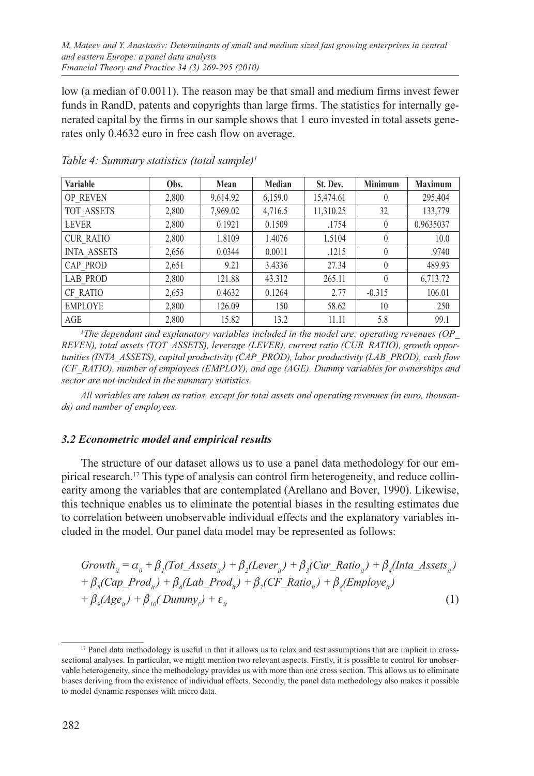low (a median of 0.0011). The reason may be that small and medium firms invest fewer funds in RandD, patents and copyrights than large firms. The statistics for internally generated capital by the firms in our sample shows that 1 euro invested in total assets generates only 0.4632 euro in free cash flow on average.

| Variable           | Obs.  | Mean     | Median  | St. Dev.  | <b>Minimum</b> | <b>Maximum</b> |
|--------------------|-------|----------|---------|-----------|----------------|----------------|
| <b>OP REVEN</b>    | 2,800 | 9,614.92 | 6,159.0 | 15,474.61 | $\theta$       | 295,404        |
| TOT ASSETS         | 2,800 | 7,969.02 | 4,716.5 | 11,310.25 | 32             | 133,779        |
| <b>LEVER</b>       | 2,800 | 0.1921   | 0.1509  | .1754     | $\theta$       | 0.9635037      |
| <b>CUR RATIO</b>   | 2,800 | 1.8109   | 1.4076  | 1.5104    | $\theta$       | 10.0           |
| <b>INTA ASSETS</b> | 2,656 | 0.0344   | 0.0011  | .1215     | $\theta$       | .9740          |
| CAP PROD           | 2,651 | 9.21     | 3.4336  | 27.34     | $\theta$       | 489.93         |
| <b>LAB PROD</b>    | 2,800 | 121.88   | 43.312  | 265.11    | $\theta$       | 6,713.72       |
| <b>CF RATIO</b>    | 2,653 | 0.4632   | 0.1264  | 2.77      | $-0.315$       | 106.01         |
| <b>EMPLOYE</b>     | 2,800 | 126.09   | 150     | 58.62     | 10             | 250            |
| AGE                | 2,800 | 15.82    | 13.2    | 11.11     | 5.8            | 99.1           |

*Table 4: Summary statistics (total sample)1*

*1 The dependant and explanatory variables included in the model are: operating revenues (OP\_ REVEN), total assets (TOT\_ASSETS), leverage (LEVER), current ratio (CUR\_RATIO), growth opportunities (INTA\_ASSETS), capital productivity (CAP\_PROD), labor productivity (LAB\_PROD), cash flow (CF\_RATIO), number of employees (EMPLOY), and age (AGE). Dummy variables for ownerships and sector are not included in the summary statistics.*

*All variables are taken as ratios, except for total assets and operating revenues (in euro, thousands) and number of employees.*

# *3.2 Econometric model and empirical results*

The structure of our dataset allows us to use a panel data methodology for our empirical research.17 This type of analysis can control firm heterogeneity, and reduce collinearity among the variables that are contemplated (Arellano and Bover, 1990). Likewise, this technique enables us to eliminate the potential biases in the resulting estimates due to correlation between unobservable individual effects and the explanatory variables included in the model. Our panel data model may be represented as follows:

$$
Growthii = \alpha0 + \beta1(Tot\_Assetsii) + \beta2(Leverii) + \beta3(Cur\_Ratioii) + \beta4(Inta\_Assetsii)+ \beta5(Cap\_Prodii) + \beta6(Lab\_Prodii) + \beta7(CF\_Ratioii) + \beta8(Employeeii)+ \beta9(Ageii) + \beta10(Dummyi) + \varepsilonii
$$
\n(1)

<sup>&</sup>lt;sup>17</sup> Panel data methodology is useful in that it allows us to relax and test assumptions that are implicit in crosssectional analyses. In particular, we might mention two relevant aspects. Firstly, it is possible to control for unobservable heterogeneity, since the methodology provides us with more than one cross section. This allows us to eliminate biases deriving from the existence of individual effects. Secondly, the panel data methodology also makes it possible to model dynamic responses with micro data.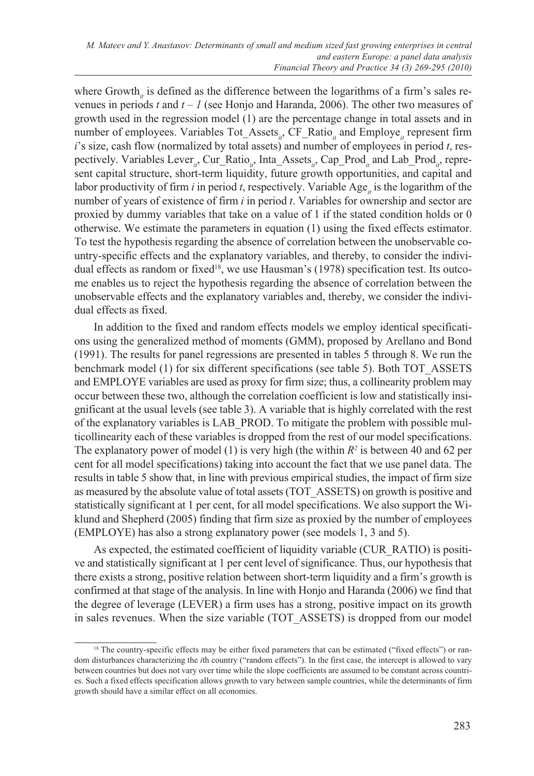where Growth<sub>it</sub> is defined as the difference between the logarithms of a firm's sales revenues in periods *t* and *t – 1* (see Honjo and Haranda, 2006). The other two measures of growth used in the regression model (1) are the percentage change in total assets and in number of employees. Variables Tot Assets<sub>ith</sub>, CF\_Ratio<sub>it</sub> and Employe<sub>is</sub> represent firm *i*'s size, cash flow (normalized by total assets) and number of employees in period *t*, respectively. Variables Lever<sub>it</sub>, Cur\_Ratio<sub>it</sub>, Inta\_Assets<sub>it</sub>, Cap\_Prod<sub>it</sub> and Lab\_Prod<sub>it</sub>, represent capital structure, short-term liquidity, future growth opportunities, and capital and labor productivity of firm *i* in period *t*, respectively. Variable Age<sub>i</sub> is the logarithm of the number of years of existence of firm *i* in period *t*. Variables for ownership and sector are proxied by dummy variables that take on a value of 1 if the stated condition holds or 0 otherwise. We estimate the parameters in equation (1) using the fixed effects estimator. To test the hypothesis regarding the absence of correlation between the unobservable country-specific effects and the explanatory variables, and thereby, to consider the individual effects as random or fixed<sup>18</sup>, we use Hausman's (1978) specification test. Its outcome enables us to reject the hypothesis regarding the absence of correlation between the unobservable effects and the explanatory variables and, thereby, we consider the individual effects as fixed.

In addition to the fixed and random effects models we employ identical specifications using the generalized method of moments (GMM), proposed by Arellano and Bond (1991). The results for panel regressions are presented in tables 5 through 8. We run the benchmark model (1) for six different specifications (see table 5). Both TOT\_ASSETS and EMPLOYE variables are used as proxy for firm size; thus, a collinearity problem may occur between these two, although the correlation coefficient is low and statistically insignificant at the usual levels (see table 3). A variable that is highly correlated with the rest of the explanatory variables is LAB\_PROD. To mitigate the problem with possible multicollinearity each of these variables is dropped from the rest of our model specifications. The explanatory power of model (1) is very high (the within  $R^2$  is between 40 and 62 per cent for all model specifications) taking into account the fact that we use panel data. The results in table 5 show that, in line with previous empirical studies, the impact of firm size as measured by the absolute value of total assets (TOT\_ASSETS) on growth is positive and statistically significant at 1 per cent, for all model specifications. We also support the Wiklund and Shepherd (2005) finding that firm size as proxied by the number of employees (EMPLOYE) has also a strong explanatory power (see models 1, 3 and 5).

As expected, the estimated coefficient of liquidity variable (CUR\_RATIO) is positive and statistically significant at 1 per cent level of significance. Thus, our hypothesis that there exists a strong, positive relation between short-term liquidity and a firm's growth is confirmed at that stage of the analysis. In line with Honjo and Haranda (2006) we find that the degree of leverage (LEVER) a firm uses has a strong, positive impact on its growth in sales revenues. When the size variable (TOT\_ASSETS) is dropped from our model

<sup>&</sup>lt;sup>18</sup> The country-specific effects may be either fixed parameters that can be estimated ("fixed effects") or random disturbances characterizing the *i*th country ("random effects"). In the first case, the intercept is allowed to vary between countries but does not vary over time while the slope coefficients are assumed to be constant across countries. Such a fixed effects specification allows growth to vary between sample countries, while the determinants of firm growth should have a similar effect on all economies.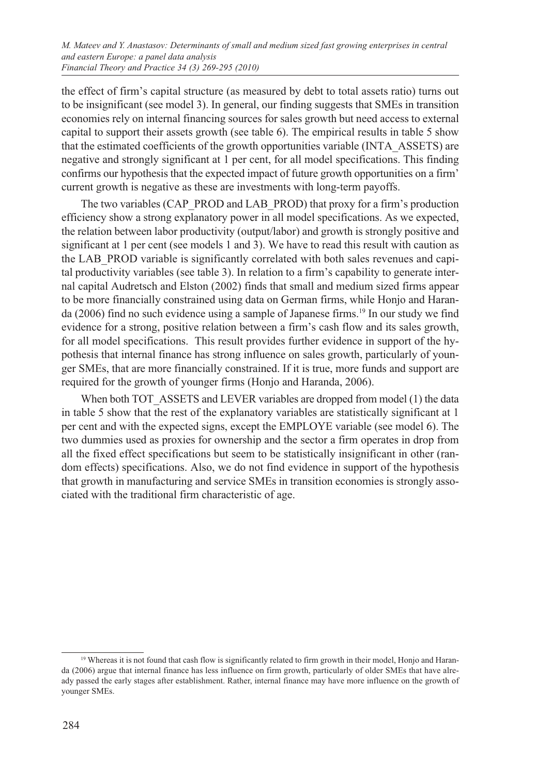the effect of firm's capital structure (as measured by debt to total assets ratio) turns out to be insignificant (see model 3). In general, our finding suggests that SMEs in transition economies rely on internal financing sources for sales growth but need access to external capital to support their assets growth (see table 6). The empirical results in table 5 show that the estimated coefficients of the growth opportunities variable (INTA\_ASSETS) are negative and strongly significant at 1 per cent, for all model specifications. This finding confirms our hypothesis that the expected impact of future growth opportunities on a firm' current growth is negative as these are investments with long-term payoffs.

The two variables (CAP\_PROD and LAB\_PROD) that proxy for a firm's production efficiency show a strong explanatory power in all model specifications. As we expected, the relation between labor productivity (output/labor) and growth is strongly positive and significant at 1 per cent (see models 1 and 3). We have to read this result with caution as the LAB\_PROD variable is significantly correlated with both sales revenues and capital productivity variables (see table 3). In relation to a firm's capability to generate internal capital Audretsch and Elston (2002) finds that small and medium sized firms appear to be more financially constrained using data on German firms, while Honjo and Haranda (2006) find no such evidence using a sample of Japanese firms.<sup>19</sup> In our study we find evidence for a strong, positive relation between a firm's cash flow and its sales growth, for all model specifications. This result provides further evidence in support of the hypothesis that internal finance has strong influence on sales growth, particularly of younger SMEs, that are more financially constrained. If it is true, more funds and support are required for the growth of younger firms (Honjo and Haranda, 2006).

When both TOT\_ASSETS and LEVER variables are dropped from model (1) the data in table 5 show that the rest of the explanatory variables are statistically significant at 1 per cent and with the expected signs, except the EMPLOYE variable (see model 6). The two dummies used as proxies for ownership and the sector a firm operates in drop from all the fixed effect specifications but seem to be statistically insignificant in other (random effects) specifications. Also, we do not find evidence in support of the hypothesis that growth in manufacturing and service SMEs in transition economies is strongly associated with the traditional firm characteristic of age.

<sup>&</sup>lt;sup>19</sup> Whereas it is not found that cash flow is significantly related to firm growth in their model, Honjo and Haranda (2006) argue that internal finance has less influence on firm growth, particularly of older SMEs that have already passed the early stages after establishment. Rather, internal finance may have more influence on the growth of younger SMEs.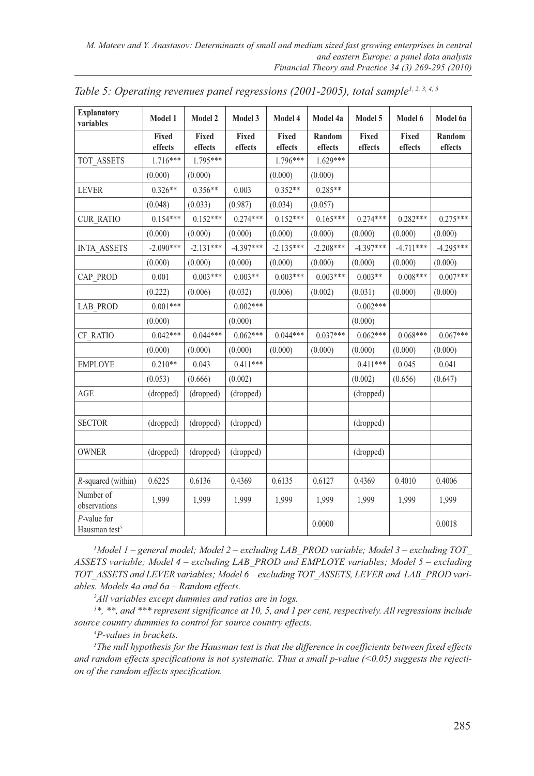| <b>Explanatory</b><br>variables             | Model 1          | Model 2          | Model 3          | Model 4          | Model 4a          | Model 5          | Model 6          | Model 6a          |
|---------------------------------------------|------------------|------------------|------------------|------------------|-------------------|------------------|------------------|-------------------|
|                                             | Fixed<br>effects | Fixed<br>effects | Fixed<br>effects | Fixed<br>effects | Random<br>effects | Fixed<br>effects | Fixed<br>effects | Random<br>effects |
| TOT_ASSETS                                  | 1.716***         | 1.795***         |                  | 1.796***         | 1.629***          |                  |                  |                   |
|                                             | (0.000)          | (0.000)          |                  | (0.000)          | (0.000)           |                  |                  |                   |
| <b>LEVER</b>                                | $0.326**$        | $0.356**$        | 0.003            | $0.352**$        | $0.285**$         |                  |                  |                   |
|                                             | (0.048)          | (0.033)          | (0.987)          | (0.034)          | (0.057)           |                  |                  |                   |
| <b>CUR RATIO</b>                            | $0.154***$       | $0.152***$       | $0.274***$       | $0.152***$       | $0.165***$        | $0.274***$       | $0.282***$       | $0.275***$        |
|                                             | (0.000)          | (0.000)          | (0.000)          | (0.000)          | (0.000)           | (0.000)          | (0.000)          | (0.000)           |
| <b>INTA ASSETS</b>                          | $-2.090***$      | $-2.131***$      | $-4.397***$      | $-2.135***$      | $-2.208***$       | $-4.397***$      | $-4.711***$      | $-4.295***$       |
|                                             | (0.000)          | (0.000)          | (0.000)          | (0.000)          | (0.000)           | (0.000)          | (0.000)          | (0.000)           |
| CAP PROD                                    | 0.001            | $0.003***$       | $0.003**$        | $0.003***$       | $0.003***$        | $0.003**$        | $0.008***$       | $0.007***$        |
|                                             | (0.222)          | (0.006)          | (0.032)          | (0.006)          | (0.002)           | (0.031)          | (0.000)          | (0.000)           |
| LAB_PROD                                    | $0.001***$       |                  | $0.002***$       |                  |                   | $0.002***$       |                  |                   |
|                                             | (0.000)          |                  | (0.000)          |                  |                   | (0.000)          |                  |                   |
| CF_RATIO                                    | $0.042***$       | $0.044***$       | $0.062***$       | $0.044***$       | $0.037***$        | $0.062***$       | $0.068***$       | $0.067***$        |
|                                             | (0.000)          | (0.000)          | (0.000)          | (0.000)          | (0.000)           | (0.000)          | (0.000)          | (0.000)           |
| <b>EMPLOYE</b>                              | $0.210**$        | 0.043            | $0.411***$       |                  |                   | $0.411***$       | 0.045            | 0.041             |
|                                             | (0.053)          | (0.666)          | (0.002)          |                  |                   | (0.002)          | (0.656)          | (0.647)           |
| AGE                                         | (dropped)        | (dropped)        | (dropped)        |                  |                   | (dropped)        |                  |                   |
|                                             |                  |                  |                  |                  |                   |                  |                  |                   |
| <b>SECTOR</b>                               | (dropped)        | (dropped)        | (dropped)        |                  |                   | (dropped)        |                  |                   |
|                                             |                  |                  |                  |                  |                   |                  |                  |                   |
| <b>OWNER</b>                                | (dropped)        | (dropped)        | (dropped)        |                  |                   | (dropped)        |                  |                   |
|                                             |                  |                  |                  |                  |                   |                  |                  |                   |
| $R$ -squared (within)                       | 0.6225           | 0.6136           | 0.4369           | 0.6135           | 0.6127            | 0.4369           | 0.4010           | 0.4006            |
| Number of<br>observations                   | 1,999            | 1,999            | 1,999            | 1,999            | 1,999             | 1,999            | 1,999            | 1,999             |
| $P$ -value for<br>Hausman test <sup>5</sup> |                  |                  |                  |                  | 0.0000            |                  |                  | 0.0018            |

*Table 5: Operating revenues panel regressions (2001-2005), total sample<sup>1, 2, 3, 4, 5*</sup>

*1 Model 1 – general model; Model 2 – excluding LAB\_PROD variable; Model 3 – excluding TOT\_ ASSETS variable; Model 4 – excluding LAB\_PROD and EMPLOYE variables; Model 5 – excluding TOT\_ASSETS and LEVER variables; Model 6 – excluding TOT\_ASSETS, LEVER and LAB\_PROD variables. Models 4a and 6a – Random effects.*

*2 All variables except dummies and ratios are in logs.*

*3 \*, \*\*, and \*\*\* represent significance at 10, 5, and 1 per cent, respectively. All regressions include source country dummies to control for source country effects.*

*4 P-values in brackets.*

*5 The null hypothesis for the Hausman test is that the difference in coefficients between fixed effects and random effects specifications is not systematic. Thus a small p-value (<0.05) suggests the rejection of the random effects specification.*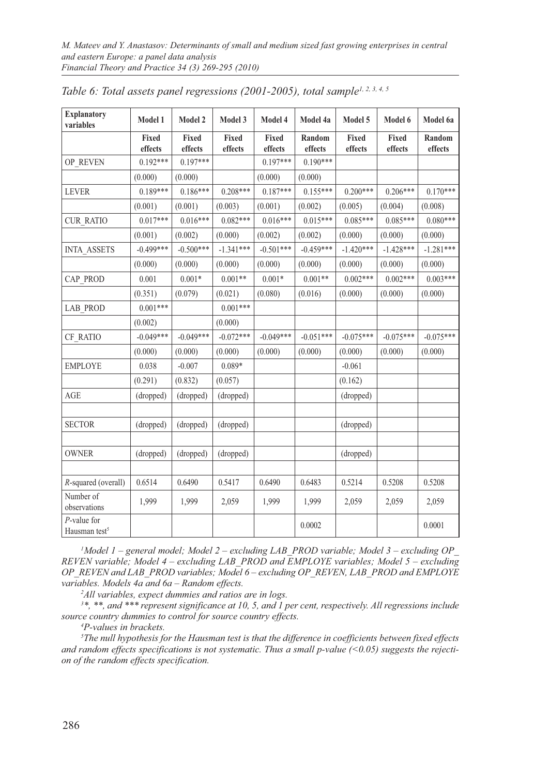| <b>Explanatory</b><br>variables             | Model 1          | Model 2          | Model 3          | Model 4          | Model 4a          | Model 5          | Model 6          | Model 6a          |
|---------------------------------------------|------------------|------------------|------------------|------------------|-------------------|------------------|------------------|-------------------|
|                                             | Fixed<br>effects | Fixed<br>effects | Fixed<br>effects | Fixed<br>effects | Random<br>effects | Fixed<br>effects | Fixed<br>effects | Random<br>effects |
| OP_REVEN                                    | $0.192***$       | $0.197***$       |                  | $0.197***$       | $0.190***$        |                  |                  |                   |
|                                             | (0.000)          | (0.000)          |                  | (0.000)          | (0.000)           |                  |                  |                   |
| <b>LEVER</b>                                | $0.189***$       | $0.186***$       | $0.208***$       | $0.187***$       | $0.155***$        | $0.200***$       | $0.206***$       | $0.170***$        |
|                                             | (0.001)          | (0.001)          | (0.003)          | (0.001)          | (0.002)           | (0.005)          | (0.004)          | (0.008)           |
| <b>CUR RATIO</b>                            | $0.017***$       | $0.016***$       | $0.082***$       | $0.016***$       | $0.015***$        | $0.085***$       | $0.085***$       | $0.080***$        |
|                                             | (0.001)          | (0.002)          | (0.000)          | (0.002)          | (0.002)           | (0.000)          | (0.000)          | (0.000)           |
| <b>INTA ASSETS</b>                          | $-0.499***$      | $-0.500***$      | $-1.341***$      | $-0.501***$      | $-0.459***$       | $-1.420***$      | $-1.428***$      | $-1.281***$       |
|                                             | (0.000)          | (0.000)          | (0.000)          | (0.000)          | (0.000)           | (0.000)          | (0.000)          | (0.000)           |
| CAP PROD                                    | 0.001            | $0.001*$         | $0.001**$        | $0.001*$         | $0.001**$         | $0.002***$       | $0.002***$       | $0.003***$        |
|                                             | (0.351)          | (0.079)          | (0.021)          | (0.080)          | (0.016)           | (0.000)          | (0.000)          | (0.000)           |
| <b>LAB PROD</b>                             | $0.001***$       |                  | $0.001***$       |                  |                   |                  |                  |                   |
|                                             | (0.002)          |                  | (0.000)          |                  |                   |                  |                  |                   |
| CF RATIO                                    | $-0.049***$      | $-0.049***$      | $-0.072***$      | $-0.049***$      | $-0.051***$       | $-0.075***$      | $-0.075***$      | $-0.075***$       |
|                                             | (0.000)          | (0.000)          | (0.000)          | (0.000)          | (0.000)           | (0.000)          | (0.000)          | (0.000)           |
| <b>EMPLOYE</b>                              | 0.038            | $-0.007$         | $0.089*$         |                  |                   | $-0.061$         |                  |                   |
|                                             | (0.291)          | (0.832)          | (0.057)          |                  |                   | (0.162)          |                  |                   |
| AGE                                         | (dropped)        | (dropped)        | (dropped)        |                  |                   | (dropped)        |                  |                   |
|                                             |                  |                  |                  |                  |                   |                  |                  |                   |
| <b>SECTOR</b>                               | (dropped)        | (dropped)        | (dropped)        |                  |                   | (dropped)        |                  |                   |
|                                             |                  |                  |                  |                  |                   |                  |                  |                   |
| <b>OWNER</b>                                | (dropped)        | (dropped)        | (dropped)        |                  |                   | (dropped)        |                  |                   |
|                                             |                  |                  |                  |                  |                   |                  |                  |                   |
| R-squared (overall)                         | 0.6514           | 0.6490           | 0.5417           | 0.6490           | 0.6483            | 0.5214           | 0.5208           | 0.5208            |
| Number of<br>observations                   | 1,999            | 1,999            | 2,059            | 1,999            | 1,999             | 2,059            | 2,059            | 2,059             |
| $P$ -value for<br>Hausman test <sup>5</sup> |                  |                  |                  |                  | 0.0002            |                  |                  | 0.0001            |

*Table 6: Total assets panel regressions (2001-2005), total sample1, 2, 3, 4, 5*

*1 Model 1 – general model; Model 2 – excluding LAB\_PROD variable; Model 3 – excluding OP\_ REVEN variable; Model 4 – excluding LAB\_PROD and EMPLOYE variables; Model 5 – excluding OP\_REVEN and LAB\_PROD variables; Model 6 – excluding OP\_REVEN, LAB\_PROD and EMPLOYE variables. Models 4a and 6a – Random effects.*

*2 All variables, expect dummies and ratios are in logs.*

*3 \*, \*\*, and \*\*\* represent significance at 10, 5, and 1 per cent, respectively. All regressions include source country dummies to control for source country effects.*

*4 P-values in brackets.*

*5 The null hypothesis for the Hausman test is that the difference in coefficients between fixed effects and random effects specifications is not systematic. Thus a small p-value (<0.05) suggests the rejection of the random effects specification.*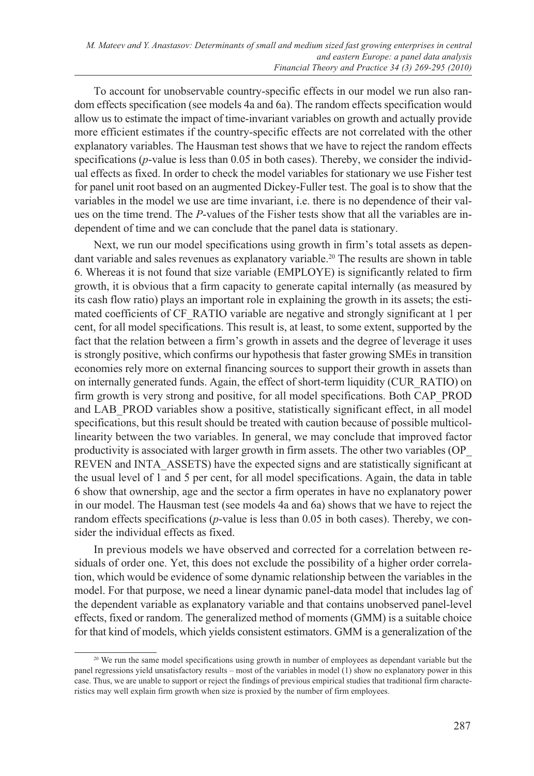To account for unobservable country-specific effects in our model we run also random effects specification (see models 4a and 6a). The random effects specification would allow us to estimate the impact of time-invariant variables on growth and actually provide more efficient estimates if the country-specific effects are not correlated with the other explanatory variables. The Hausman test shows that we have to reject the random effects specifications (*p*-value is less than 0.05 in both cases). Thereby, we consider the individual effects as fixed. In order to check the model variables for stationary we use Fisher test for panel unit root based on an augmented Dickey-Fuller test. The goal is to show that the variables in the model we use are time invariant, i.e. there is no dependence of their values on the time trend. The *P*-values of the Fisher tests show that all the variables are independent of time and we can conclude that the panel data is stationary.

Next, we run our model specifications using growth in firm's total assets as dependant variable and sales revenues as explanatory variable.<sup>20</sup> The results are shown in table 6. Whereas it is not found that size variable (EMPLOYE) is significantly related to firm growth, it is obvious that a firm capacity to generate capital internally (as measured by its cash flow ratio) plays an important role in explaining the growth in its assets; the estimated coefficients of CF\_RATIO variable are negative and strongly significant at 1 per cent, for all model specifications. This result is, at least, to some extent, supported by the fact that the relation between a firm's growth in assets and the degree of leverage it uses is strongly positive, which confirms our hypothesis that faster growing SMEs in transition economies rely more on external financing sources to support their growth in assets than on internally generated funds. Again, the effect of short-term liquidity (CUR\_RATIO) on firm growth is very strong and positive, for all model specifications. Both CAP\_PROD and LAB\_PROD variables show a positive, statistically significant effect, in all model specifications, but this result should be treated with caution because of possible multicollinearity between the two variables. In general, we may conclude that improved factor productivity is associated with larger growth in firm assets. The other two variables (OP\_ REVEN and INTA\_ASSETS) have the expected signs and are statistically significant at the usual level of 1 and 5 per cent, for all model specifications. Again, the data in table 6 show that ownership, age and the sector a firm operates in have no explanatory power in our model. The Hausman test (see models 4a and 6a) shows that we have to reject the random effects specifications (*p*-value is less than 0.05 in both cases). Thereby, we consider the individual effects as fixed.

In previous models we have observed and corrected for a correlation between residuals of order one. Yet, this does not exclude the possibility of a higher order correlation, which would be evidence of some dynamic relationship between the variables in the model. For that purpose, we need a linear dynamic panel-data model that includes lag of the dependent variable as explanatory variable and that contains unobserved panel-level effects, fixed or random. The generalized method of moments (GMM) is a suitable choice for that kind of models, which yields consistent estimators. GMM is a generalization of the

<sup>&</sup>lt;sup>20</sup> We run the same model specifications using growth in number of employees as dependant variable but the panel regressions yield unsatisfactory results – most of the variables in model (1) show no explanatory power in this case. Thus, we are unable to support or reject the findings of previous empirical studies that traditional firm characteristics may well explain firm growth when size is proxied by the number of firm employees.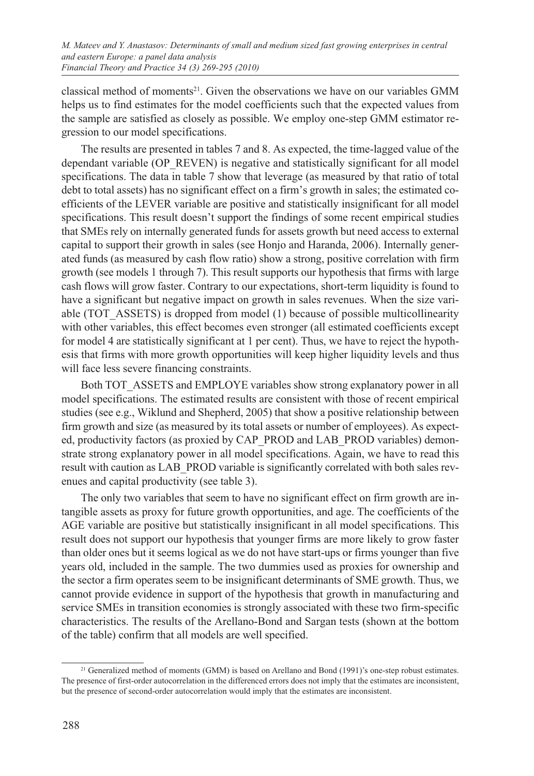classical method of moments<sup>21</sup>. Given the observations we have on our variables GMM helps us to find estimates for the model coefficients such that the expected values from the sample are satisfied as closely as possible. We employ one-step GMM estimator regression to our model specifications.

The results are presented in tables 7 and 8. As expected, the time-lagged value of the dependant variable (OP\_REVEN) is negative and statistically significant for all model specifications. The data in table 7 show that leverage (as measured by that ratio of total debt to total assets) has no significant effect on a firm's growth in sales; the estimated coefficients of the LEVER variable are positive and statistically insignificant for all model specifications. This result doesn't support the findings of some recent empirical studies that SMEs rely on internally generated funds for assets growth but need access to external capital to support their growth in sales (see Honjo and Haranda, 2006). Internally generated funds (as measured by cash flow ratio) show a strong, positive correlation with firm growth (see models 1 through 7). This result supports our hypothesis that firms with large cash flows will grow faster. Contrary to our expectations, short-term liquidity is found to have a significant but negative impact on growth in sales revenues. When the size variable (TOT\_ASSETS) is dropped from model (1) because of possible multicollinearity with other variables, this effect becomes even stronger (all estimated coefficients except for model 4 are statistically significant at 1 per cent). Thus, we have to reject the hypothesis that firms with more growth opportunities will keep higher liquidity levels and thus will face less severe financing constraints.

Both TOT\_ASSETS and EMPLOYE variables show strong explanatory power in all model specifications. The estimated results are consistent with those of recent empirical studies (see e.g., Wiklund and Shepherd, 2005) that show a positive relationship between firm growth and size (as measured by its total assets or number of employees). As expected, productivity factors (as proxied by CAP\_PROD and LAB\_PROD variables) demonstrate strong explanatory power in all model specifications. Again, we have to read this result with caution as LAB\_PROD variable is significantly correlated with both sales revenues and capital productivity (see table 3).

The only two variables that seem to have no significant effect on firm growth are intangible assets as proxy for future growth opportunities, and age. The coefficients of the AGE variable are positive but statistically insignificant in all model specifications. This result does not support our hypothesis that younger firms are more likely to grow faster than older ones but it seems logical as we do not have start-ups or firms younger than five years old, included in the sample. The two dummies used as proxies for ownership and the sector a firm operates seem to be insignificant determinants of SME growth. Thus, we cannot provide evidence in support of the hypothesis that growth in manufacturing and service SMEs in transition economies is strongly associated with these two firm-specific characteristics. The results of the Arellano-Bond and Sargan tests (shown at the bottom of the table) confirm that all models are well specified.

<sup>&</sup>lt;sup>21</sup> Generalized method of moments (GMM) is based on Arellano and Bond (1991)'s one-step robust estimates. The presence of first-order autocorrelation in the differenced errors does not imply that the estimates are inconsistent, but the presence of second-order autocorrelation would imply that the estimates are inconsistent.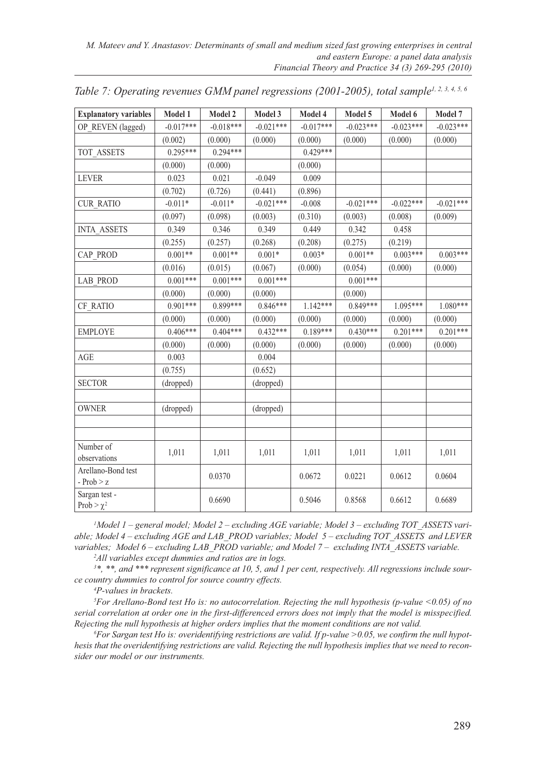| <b>Explanatory variables</b>       | Model 1     | Model 2     | Model 3     | Model 4     | Model 5     | Model 6     | Model 7     |
|------------------------------------|-------------|-------------|-------------|-------------|-------------|-------------|-------------|
| OP REVEN (lagged)                  | $-0.017***$ | $-0.018***$ | $-0.021***$ | $-0.017***$ | $-0.023***$ | $-0.023***$ | $-0.023***$ |
|                                    | (0.002)     | (0.000)     | (0.000)     | (0.000)     | (0.000)     | (0.000)     | (0.000)     |
| TOT ASSETS                         | $0.295***$  | $0.294***$  |             | $0.429***$  |             |             |             |
|                                    | (0.000)     | (0.000)     |             | (0.000)     |             |             |             |
| <b>LEVER</b>                       | 0.023       | 0.021       | $-0.049$    | 0.009       |             |             |             |
|                                    | (0.702)     | (0.726)     | (0.441)     | (0.896)     |             |             |             |
| <b>CUR RATIO</b>                   | $-0.011*$   | $-0.011*$   | $-0.021***$ | $-0.008$    | $-0.021***$ | $-0.022***$ | $-0.021***$ |
|                                    | (0.097)     | (0.098)     | (0.003)     | (0.310)     | (0.003)     | (0.008)     | (0.009)     |
| <b>INTA ASSETS</b>                 | 0.349       | 0.346       | 0.349       | 0.449       | 0.342       | 0.458       |             |
|                                    | (0.255)     | (0.257)     | (0.268)     | (0.208)     | (0.275)     | (0.219)     |             |
| CAP PROD                           | $0.001**$   | $0.001**$   | $0.001*$    | $0.003*$    | $0.001**$   | $0.003***$  | $0.003***$  |
|                                    | (0.016)     | (0.015)     | (0.067)     | (0.000)     | (0.054)     | (0.000)     | (0.000)     |
| LAB_PROD                           | $0.001***$  | $0.001***$  | $0.001***$  |             | $0.001***$  |             |             |
|                                    | (0.000)     | (0.000)     | (0.000)     |             | (0.000)     |             |             |
| CF RATIO                           | $0.901***$  | $0.899***$  | $0.846***$  | $1.142***$  | $0.849***$  | 1.095***    | $1.080***$  |
|                                    | (0.000)     | (0.000)     | (0.000)     | (0.000)     | (0.000)     | (0.000)     | (0.000)     |
| <b>EMPLOYE</b>                     | $0.406***$  | $0.404***$  | $0.432***$  | $0.189***$  | $0.430***$  | $0.201***$  | $0.201***$  |
|                                    | (0.000)     | (0.000)     | (0.000)     | (0.000)     | (0.000)     | (0.000)     | (0.000)     |
| AGE                                | 0.003       |             | 0.004       |             |             |             |             |
|                                    | (0.755)     |             | (0.652)     |             |             |             |             |
| <b>SECTOR</b>                      | (dropped)   |             | (dropped)   |             |             |             |             |
|                                    |             |             |             |             |             |             |             |
| <b>OWNER</b>                       | (dropped)   |             | (dropped)   |             |             |             |             |
|                                    |             |             |             |             |             |             |             |
|                                    |             |             |             |             |             |             |             |
| Number of<br>observations          | 1,011       | 1,011       | 1,011       | 1,011       | 1,011       | 1,011       | 1,011       |
| Arellano-Bond test<br>- $Prob > z$ |             | 0.0370      |             | 0.0672      | 0.0221      | 0.0612      | 0.0604      |
| Sargan test -<br>Prob $> \chi^2$   |             | 0.6690      |             | 0.5046      | 0.8568      | 0.6612      | 0.6689      |

*Table 7: Operating revenues GMM panel regressions (2001-2005), total sample1, 2, 3, 4, 5, 6*

*1 Model 1 – general model; Model 2 – excluding AGE variable; Model 3 – excluding TOT\_ASSETS variable; Model 4 – excluding AGE and LAB\_PROD variables; Model 5 – excluding TOT\_ASSETS and LEVER variables; Model 6 – excluding LAB\_PROD variable; and Model 7 – excluding INTA\_ASSETS variable.*

*2 All variables except dummies and ratios are in logs.*

*3 \*, \*\*, and \*\*\* represent significance at 10, 5, and 1 per cent, respectively. All regressions include source country dummies to control for source country effects.*

*4 P-values in brackets.*

*5 For Arellano-Bond test Ho is: no autocorrelation. Rejecting the null hypothesis (p-value <0.05) of no serial correlation at order one in the first-differenced errors does not imply that the model is misspecified. Rejecting the null hypothesis at higher orders implies that the moment conditions are not valid. 6*

*For Sargan test Ho is: overidentifying restrictions are valid. If p-value >0.05, we confirm the null hypothesis that the overidentifying restrictions are valid. Rejecting the null hypothesis implies that we need to reconsider our model or our instruments.*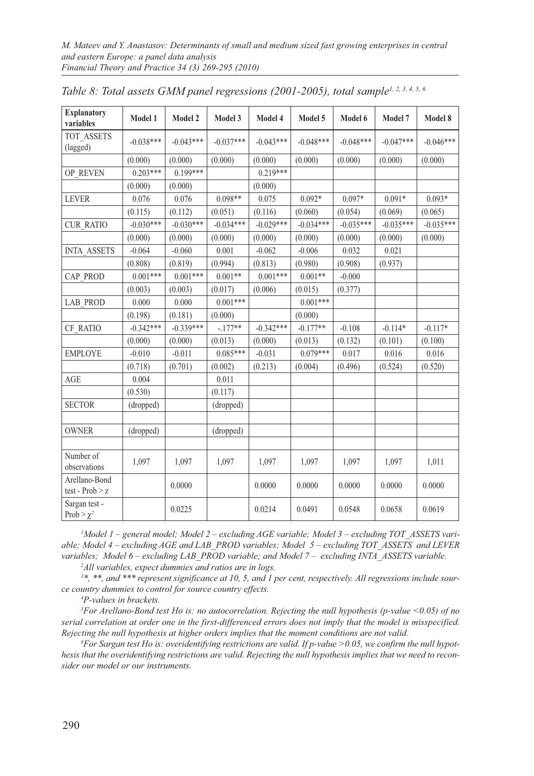| <b>Explanatory</b><br>variables    | Model 1     | Model 2     | Model 3     | Model 4     | Model 5     | Model 6     | Model 7     | Model 8     |
|------------------------------------|-------------|-------------|-------------|-------------|-------------|-------------|-------------|-------------|
| TOT ASSETS<br>(lagged)             | $-0.038***$ | $-0.043***$ | $-0.037***$ | $-0.043***$ | $-0.048***$ | $-0.048***$ | $-0.047***$ | $-0.046***$ |
|                                    | (0.000)     | (0.000)     | (0.000)     | (0.000)     | (0.000)     | (0.000)     | (0.000)     | (0.000)     |
| OP REVEN                           | $0.203***$  | $0.199***$  |             | $0.219***$  |             |             |             |             |
|                                    | (0.000)     | (0.000)     |             | (0.000)     |             |             |             |             |
| <b>LEVER</b>                       | 0.076       | 0.076       | $0.098**$   | 0.075       | $0.092*$    | $0.097*$    | $0.091*$    | $0.093*$    |
|                                    | (0.115)     | (0.112)     | (0.051)     | (0.116)     | (0.060)     | (0.054)     | (0.069)     | (0.065)     |
| <b>CUR RATIO</b>                   | $-0.030***$ | $-0.030***$ | $-0.034***$ | $-0.029***$ | $-0.034***$ | $-0.035***$ | $-0.035***$ | $-0.035***$ |
|                                    | (0.000)     | (0.000)     | (0.000)     | (0.000)     | (0.000)     | (0.000)     | (0.000)     | (0.000)     |
| <b>INTA ASSETS</b>                 | $-0.064$    | $-0.060$    | 0.001       | $-0.062$    | $-0.006$    | 0.032       | 0.021       |             |
|                                    | (0.808)     | (0.819)     | (0.994)     | (0.813)     | (0.980)     | (0.908)     | (0.937)     |             |
| CAP PROD                           | $0.001***$  | $0.001***$  | $0.001**$   | $0.001***$  | $0.001**$   | $-0.000$    |             |             |
|                                    | (0.003)     | (0.003)     | (0.017)     | (0.006)     | (0.015)     | (0.377)     |             |             |
| <b>LAB PROD</b>                    | 0.000       | 0.000       | $0.001***$  |             | $0.001***$  |             |             |             |
|                                    | (0.198)     | (0.181)     | (0.000)     |             | (0.000)     |             |             |             |
| CF RATIO                           | $-0.342***$ | $-0.339***$ | $-.177**$   | $-0.342***$ | $-0.177**$  | $-0.108$    | $-0.114*$   | $-0.117*$   |
|                                    | (0.000)     | (0.000)     | (0.013)     | (0.000)     | (0.013)     | (0.132)     | (0.101)     | (0.100)     |
| <b>EMPLOYE</b>                     | $-0.010$    | $-0.011$    | $0.085***$  | $-0.031$    | $0.079***$  | 0.017       | 0.016       | 0.016       |
|                                    | (0.718)     | (0.701)     | (0.002)     | (0.213)     | (0.004)     | (0.496)     | (0.524)     | (0.520)     |
| AGE                                | 0.004       |             | 0.011       |             |             |             |             |             |
|                                    | (0.530)     |             | (0.117)     |             |             |             |             |             |
| <b>SECTOR</b>                      | (dropped)   |             | (dropped)   |             |             |             |             |             |
|                                    |             |             |             |             |             |             |             |             |
| <b>OWNER</b>                       | (dropped)   |             | (dropped)   |             |             |             |             |             |
|                                    |             |             |             |             |             |             |             |             |
| Number of<br>observations          | 1,097       | 1,097       | 1,097       | 1,097       | 1,097       | 1,097       | 1,097       | 1,011       |
| Arellano-Bond<br>test - $Prob > z$ |             | 0.0000      |             | 0.0000      | 0.0000      | 0.0000      | 0.0000      | 0.0000      |
| Sargan test -<br>Prob > $\chi^2$   |             | 0.0225      |             | 0.0214      | 0.0491      | 0.0548      | 0.0658      | 0.0619      |

|  | Table 8: Total assets GMM panel regressions (2001-2005), total sample <sup>1, 2, 3, 4, 5, 6</sup> |
|--|---------------------------------------------------------------------------------------------------|
|--|---------------------------------------------------------------------------------------------------|

*1 Model 1 – general model; Model 2 – excluding AGE variable; Model 3 – excluding TOT\_ASSETS variable; Model 4 – excluding AGE and LAB\_PROD variables; Model 5 – excluding TOT\_ASSETS and LEVER variables; Model 6 – excluding LAB\_PROD variable; and Model 7 – excluding INTA\_ASSETS variable. 2 All variables, expect dummies and ratios are in logs.*

*3 \*, \*\*, and \*\*\* represent significance at 10, 5, and 1 per cent, respectively. All regressions include source country dummies to control for source country effects.*

*4 P-values in brackets.*

*5 For Arellano-Bond test Ho is: no autocorrelation. Rejecting the null hypothesis (p-value <0.05) of no serial correlation at order one in the first-differenced errors does not imply that the model is misspecified. Rejecting the null hypothesis at higher orders implies that the moment conditions are not valid. 6*

*For Sargan test Ho is: overidentifying restrictions are valid. If p-value >0.05, we confirm the null hypothesis that the overidentifying restrictions are valid. Rejecting the null hypothesis implies that we need to reconsider our model or our instruments.*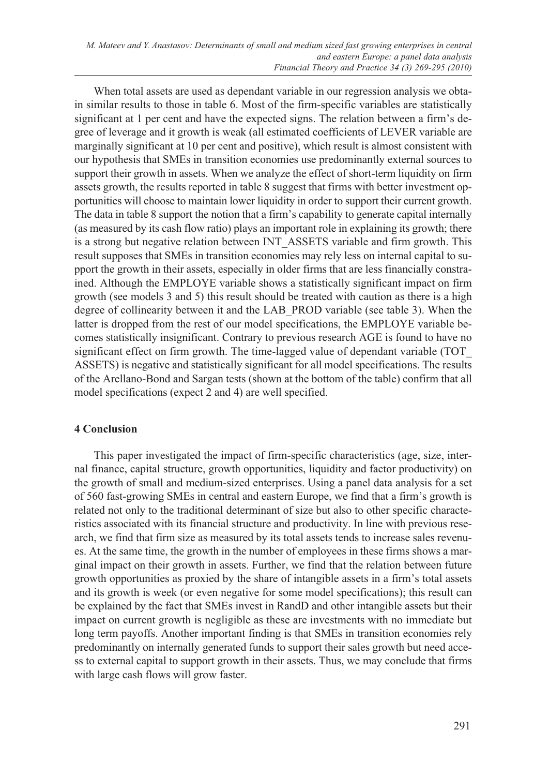When total assets are used as dependant variable in our regression analysis we obtain similar results to those in table 6. Most of the firm-specific variables are statistically significant at 1 per cent and have the expected signs. The relation between a firm's degree of leverage and it growth is weak (all estimated coefficients of LEVER variable are marginally significant at 10 per cent and positive), which result is almost consistent with our hypothesis that SMEs in transition economies use predominantly external sources to support their growth in assets. When we analyze the effect of short-term liquidity on firm assets growth, the results reported in table 8 suggest that firms with better investment opportunities will choose to maintain lower liquidity in order to support their current growth. The data in table 8 support the notion that a firm's capability to generate capital internally (as measured by its cash flow ratio) plays an important role in explaining its growth; there is a strong but negative relation between INT\_ASSETS variable and firm growth. This result supposes that SMEs in transition economies may rely less on internal capital to support the growth in their assets, especially in older firms that are less financially constrained. Although the EMPLOYE variable shows a statistically significant impact on firm growth (see models 3 and 5) this result should be treated with caution as there is a high degree of collinearity between it and the LAB\_PROD variable (see table 3). When the latter is dropped from the rest of our model specifications, the EMPLOYE variable becomes statistically insignificant. Contrary to previous research AGE is found to have no significant effect on firm growth. The time-lagged value of dependant variable (TOT\_ ASSETS) is negative and statistically significant for all model specifications. The results of the Arellano-Bond and Sargan tests (shown at the bottom of the table) confirm that all model specifications (expect 2 and 4) are well specified.

# **4 Conclusion**

This paper investigated the impact of firm-specific characteristics (age, size, internal finance, capital structure, growth opportunities, liquidity and factor productivity) on the growth of small and medium-sized enterprises. Using a panel data analysis for a set of 560 fast-growing SMEs in central and eastern Europe, we find that a firm's growth is related not only to the traditional determinant of size but also to other specific characteristics associated with its financial structure and productivity. In line with previous research, we find that firm size as measured by its total assets tends to increase sales revenues. At the same time, the growth in the number of employees in these firms shows a marginal impact on their growth in assets. Further, we find that the relation between future growth opportunities as proxied by the share of intangible assets in a firm's total assets and its growth is week (or even negative for some model specifications); this result can be explained by the fact that SMEs invest in RandD and other intangible assets but their impact on current growth is negligible as these are investments with no immediate but long term payoffs. Another important finding is that SMEs in transition economies rely predominantly on internally generated funds to support their sales growth but need access to external capital to support growth in their assets. Thus, we may conclude that firms with large cash flows will grow faster.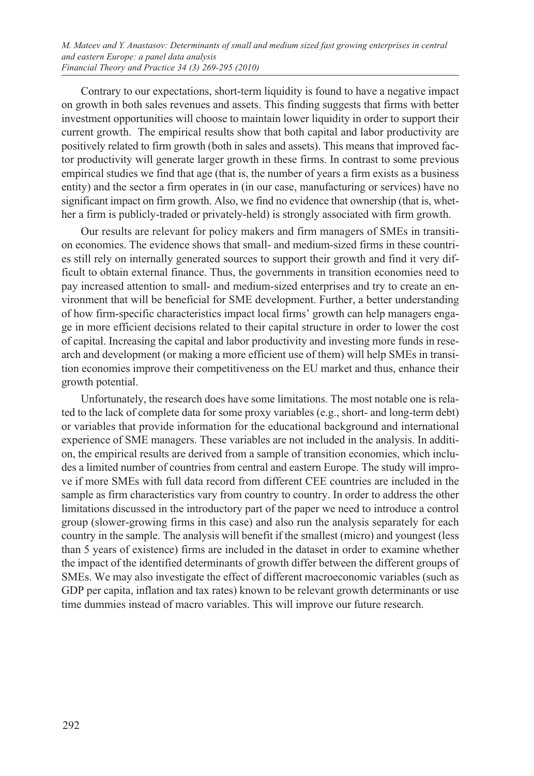Contrary to our expectations, short-term liquidity is found to have a negative impact on growth in both sales revenues and assets. This finding suggests that firms with better investment opportunities will choose to maintain lower liquidity in order to support their current growth. The empirical results show that both capital and labor productivity are positively related to firm growth (both in sales and assets). This means that improved factor productivity will generate larger growth in these firms. In contrast to some previous empirical studies we find that age (that is, the number of years a firm exists as a business entity) and the sector a firm operates in (in our case, manufacturing or services) have no significant impact on firm growth. Also, we find no evidence that ownership (that is, whether a firm is publicly-traded or privately-held) is strongly associated with firm growth.

Our results are relevant for policy makers and firm managers of SMEs in transition economies. The evidence shows that small- and medium-sized firms in these countries still rely on internally generated sources to support their growth and find it very difficult to obtain external finance. Thus, the governments in transition economies need to pay increased attention to small- and medium-sized enterprises and try to create an environment that will be beneficial for SME development. Further, a better understanding of how firm-specific characteristics impact local firms' growth can help managers engage in more efficient decisions related to their capital structure in order to lower the cost of capital. Increasing the capital and labor productivity and investing more funds in research and development (or making a more efficient use of them) will help SMEs in transition economies improve their competitiveness on the EU market and thus, enhance their growth potential.

Unfortunately, the research does have some limitations. The most notable one is related to the lack of complete data for some proxy variables (e.g., short- and long-term debt) or variables that provide information for the educational background and international experience of SME managers. These variables are not included in the analysis. In addition, the empirical results are derived from a sample of transition economies, which includes a limited number of countries from central and eastern Europe. The study will improve if more SMEs with full data record from different CEE countries are included in the sample as firm characteristics vary from country to country. In order to address the other limitations discussed in the introductory part of the paper we need to introduce a control group (slower-growing firms in this case) and also run the analysis separately for each country in the sample. The analysis will benefit if the smallest (micro) and youngest (less than 5 years of existence) firms are included in the dataset in order to examine whether the impact of the identified determinants of growth differ between the different groups of SMEs. We may also investigate the effect of different macroeconomic variables (such as GDP per capita, inflation and tax rates) known to be relevant growth determinants or use time dummies instead of macro variables. This will improve our future research.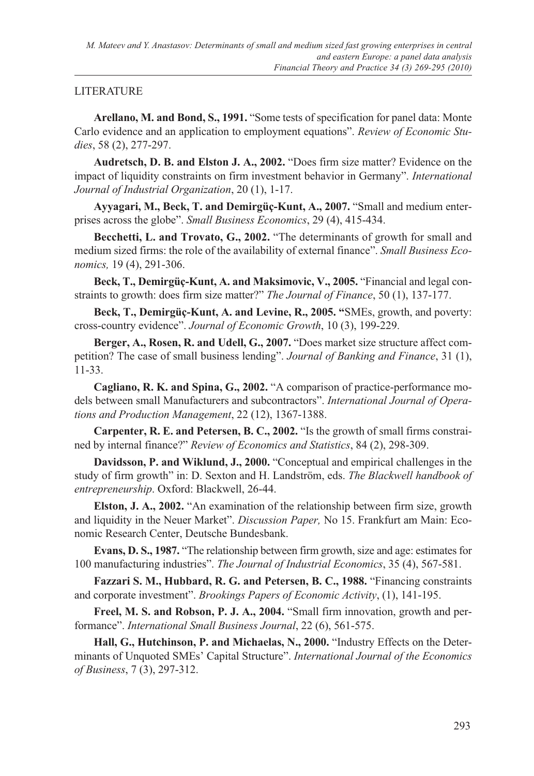# LITERATURE

**Arellano, M. and Bond, S., 1991.** "Some tests of specification for panel data: Monte Carlo evidence and an application to employment equations". *Review of Economic Studies*, 58 (2), 277-297.

**Audretsch, D. B. and Elston J. A., 2002.** "Does firm size matter? Evidence on the impact of liquidity constraints on firm investment behavior in Germany". *International Journal of Industrial Organization*, 20 (1), 1-17.

**Ayyagari, M., Beck, T. and Demirgüç-Kunt, A., 2007.** "Small and medium enterprises across the globe". *Small Business Economics*, 29 (4), 415-434.

**Becchetti, L. and Trovato, G., 2002.** "The determinants of growth for small and medium sized firms: the role of the availability of external finance". *Small Business Economics,* 19 (4), 291-306.

**Beck, T., Demirgüç-Kunt, A. and Maksimovic, V., 2005.** "Financial and legal constraints to growth: does firm size matter?" *The Journal of Finance*, 50 (1), 137-177.

**Beck, T., Demirgüç-Kunt, A. and Levine, R., 2005. "**SMEs, growth, and poverty: cross-country evidence". *Journal of Economic Growth*, 10 (3), 199-229.

**Berger, A., Rosen, R. and Udell, G., 2007.** "Does market size structure affect competition? The case of small business lending". *Journal of Banking and Finance*, 31 (1), 11-33.

**Cagliano, R. K. and Spina, G., 2002.** "A comparison of practice-performance models between small Manufacturers and subcontractors". *International Journal of Operations and Production Management*, 22 (12), 1367-1388.

**Carpenter, R. E. and Petersen, B. C., 2002.** "Is the growth of small firms constrained by internal finance?" *Review of Economics and Statistics*, 84 (2), 298-309.

**Davidsson, P. and Wiklund, J., 2000.** "Conceptual and empirical challenges in the study of firm growth" in: D. Sexton and H. Landström, eds. *The Blackwell handbook of entrepreneurship*. Oxford: Blackwell, 26-44.

**Elston, J. A., 2002.** "An examination of the relationship between firm size, growth and liquidity in the Neuer Market". *Discussion Paper,* No 15. Frankfurt am Main: Economic Research Center, Deutsche Bundesbank.

**Evans, D. S., 1987.** "The relationship between firm growth, size and age: estimates for 100 manufacturing industries". *The Journal of Industrial Economics*, 35 (4), 567-581.

**Fazzari S. M., Hubbard, R. G. and Petersen, B. C., 1988.** "Financing constraints and corporate investment". *Brookings Papers of Economic Activity*, (1), 141-195.

**Freel, M. S. and Robson, P. J. A., 2004.** "Small firm innovation, growth and performance". *International Small Business Journal*, 22 (6), 561-575.

**Hall, G., Hutchinson, P. and Michaelas, N., 2000.** "Industry Effects on the Determinants of Unquoted SMEs' Capital Structure". *International Journal of the Economics of Business*, 7 (3), 297-312.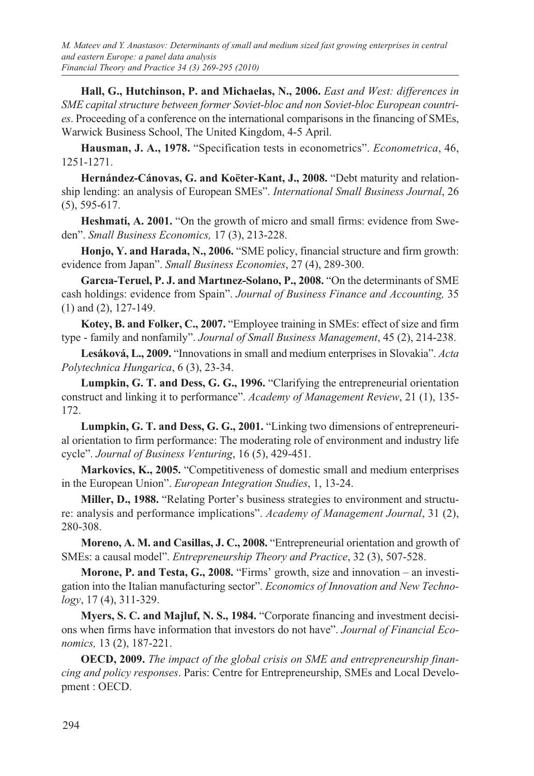**Hall, G., Hutchinson, P. and Michaelas, N., 2006.** *East and West: differences in SME capital structure between former Soviet-bloc and non Soviet-bloc European countries*. Proceeding of a conference on the international comparisons in the financing of SMEs, Warwick Business School, The United Kingdom, 4-5 April.

**Hausman, J. A., 1978.** "Specification tests in econometrics". *Econometrica*, 46, 1251-1271.

**Hernández-Cánovas, G. and Koëter-Kant, J., 2008.** "Debt maturity and relationship lending: an analysis of European SMEs". *International Small Business Journal*, 26 (5), 595-617.

**Heshmati, A. 2001.** "On the growth of micro and small firms: evidence from Sweden". *Small Business Economics,* 17 (3), 213-228.

**Honjo, Y. and Harada, N., 2006.** "SME policy, financial structure and firm growth: evidence from Japan". *Small Business Economies*, 27 (4), 289-300.

**Garcıa-Teruel, P. J. and Martınez-Solano, P., 2008.** "On the determinants of SME cash holdings: evidence from Spain". *Journal of Business Finance and Accounting,* 35 (1) and (2), 127-149.

**Kotey, B. and Folker, C., 2007.** "Employee training in SMEs: effect of size and firm type - family and nonfamily". *Journal of Small Business Management*, 45 (2), 214-238.

**Lesáková, L., 2009.** "Innovations in small and medium enterprises in Slovakia". *Acta Polytechnica Hungarica*, 6 (3), 23-34.

**Lumpkin, G. T. and Dess, G. G., 1996.** "Clarifying the entrepreneurial orientation construct and linking it to performance". *Academy of Management Review*, 21 (1), 135- 172.

**Lumpkin, G. T. and Dess, G. G., 2001.** "Linking two dimensions of entrepreneurial orientation to firm performance: The moderating role of environment and industry life cycle". *Journal of Business Venturing*, 16 (5), 429-451.

**Markovics, K., 2005.** "Competitiveness of domestic small and medium enterprises in the European Union". *European Integration Studies*, 1, 13-24.

**Miller, D., 1988.** "Relating Porter's business strategies to environment and structure: analysis and performance implications". *Academy of Management Journal*, 31 (2), 280-308.

**Moreno, A. M. and Casillas, J. C., 2008.** "Entrepreneurial orientation and growth of SMEs: a causal model". *Entrepreneurship Theory and Practice*, 32 (3), 507-528.

**Morone, P. and Testa, G., 2008.** "Firms' growth, size and innovation – an investigation into the Italian manufacturing sector". *Economics of Innovation and New Technology*, 17 (4), 311-329.

**Myers, S. C. and Majluf, N. S., 1984.** "Corporate financing and investment decisions when firms have information that investors do not have". *Journal of Financial Economics,* 13 (2), 187-221.

**OECD, 2009.** *The impact of the global crisis on SME and entrepreneurship financing and policy responses*. Paris: Centre for Entrepreneurship, SMEs and Local Development : OECD.